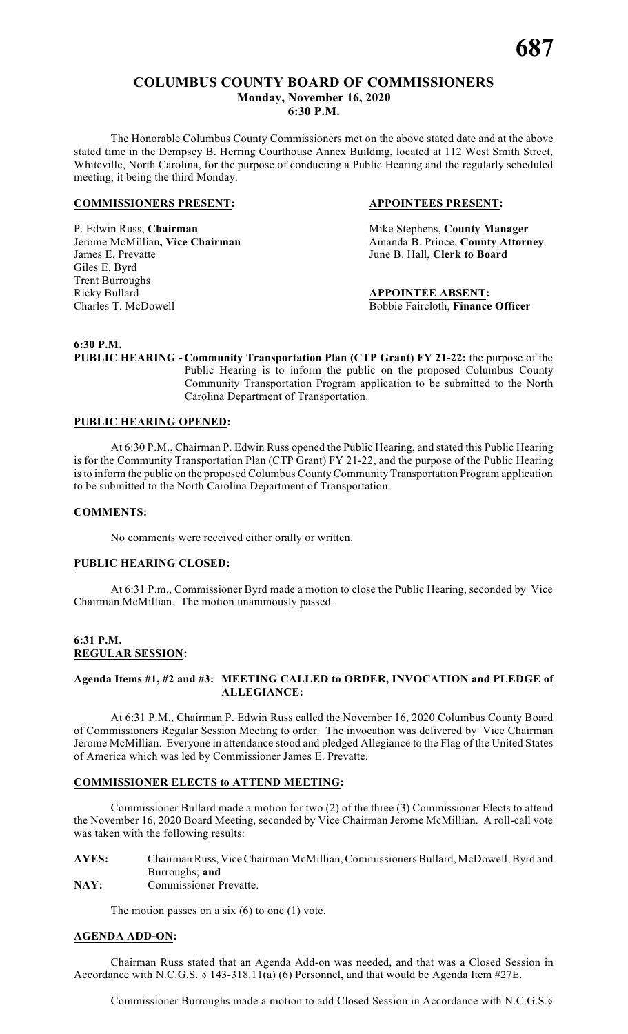# **COLUMBUS COUNTY BOARD OF COMMISSIONERS Monday, November 16, 2020 6:30 P.M.**

The Honorable Columbus County Commissioners met on the above stated date and at the above stated time in the Dempsey B. Herring Courthouse Annex Building, located at 112 West Smith Street, Whiteville, North Carolina, for the purpose of conducting a Public Hearing and the regularly scheduled meeting, it being the third Monday.

# **COMMISSIONERS PRESENT: APPOINTEES PRESENT:**

P. Edwin Russ, **Chairman** Mike Stephens, **County Manager**<br>
Jerome McMillian, Vice Chairman Manager<br>
Amanda B. Prince, County Attorn James E. Prevatte June B. Hall, **Clerk to Board** Giles E. Byrd Trent Burroughs Ricky Bullard **APPOINTEE ABSENT:** Charles T. McDowell Bobbie Faircloth, **Finance Officer**

Jerome McMillian**, Vice Chairman** Amanda B. Prince, **County Attorney**

**6:30 P.M.**

**PUBLIC HEARING - Community Transportation Plan (CTP Grant) FY 21-22:** the purpose of the Public Hearing is to inform the public on the proposed Columbus County Community Transportation Program application to be submitted to the North Carolina Department of Transportation.

# **PUBLIC HEARING OPENED:**

At 6:30 P.M., Chairman P. Edwin Russ opened the Public Hearing, and stated this Public Hearing is for the Community Transportation Plan (CTP Grant) FY 21-22, and the purpose of the Public Hearing isto inform the public on the proposed Columbus County Community Transportation Program application to be submitted to the North Carolina Department of Transportation.

# **COMMENTS:**

No comments were received either orally or written.

# **PUBLIC HEARING CLOSED:**

At 6:31 P.m., Commissioner Byrd made a motion to close the Public Hearing, seconded by Vice Chairman McMillian. The motion unanimously passed.

### **6:31 P.M. REGULAR SESSION:**

# **Agenda Items #1, #2 and #3: MEETING CALLED to ORDER, INVOCATION and PLEDGE of ALLEGIANCE:**

At 6:31 P.M., Chairman P. Edwin Russ called the November 16, 2020 Columbus County Board of Commissioners Regular Session Meeting to order. The invocation was delivered by Vice Chairman Jerome McMillian. Everyone in attendance stood and pledged Allegiance to the Flag of the United States of America which was led by Commissioner James E. Prevatte.

# **COMMISSIONER ELECTS to ATTEND MEETING:**

Commissioner Bullard made a motion for two (2) of the three (3) Commissioner Elects to attend the November 16, 2020 Board Meeting, seconded by Vice Chairman Jerome McMillian. A roll-call vote was taken with the following results:

# AYES: Chairman Russ, Vice Chairman McMillian, Commissioners Bullard, McDowell, Byrd and Burroughs; **and**

**NAY:** Commissioner Prevatte.

The motion passes on a six  $(6)$  to one  $(1)$  vote.

# **AGENDA ADD-ON:**

Chairman Russ stated that an Agenda Add-on was needed, and that was a Closed Session in Accordance with N.C.G.S. § 143-318.11(a) (6) Personnel, and that would be Agenda Item #27E.

Commissioner Burroughs made a motion to add Closed Session in Accordance with N.C.G.S.§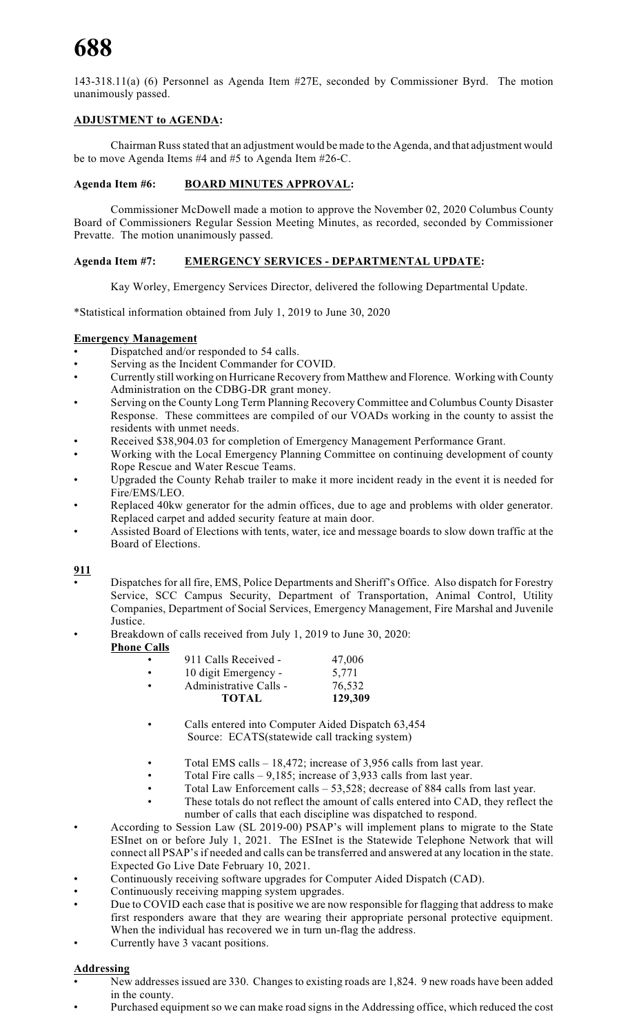143-318.11(a) (6) Personnel as Agenda Item #27E, seconded by Commissioner Byrd. The motion unanimously passed.

# **ADJUSTMENT to AGENDA:**

Chairman Russstated that an adjustment would be made to the Agenda, and that adjustment would be to move Agenda Items #4 and #5 to Agenda Item #26-C.

# **Agenda Item #6: BOARD MINUTES APPROVAL:**

Commissioner McDowell made a motion to approve the November 02, 2020 Columbus County Board of Commissioners Regular Session Meeting Minutes, as recorded, seconded by Commissioner Prevatte. The motion unanimously passed.

# **Agenda Item #7: EMERGENCY SERVICES - DEPARTMENTAL UPDATE:**

Kay Worley, Emergency Services Director, delivered the following Departmental Update.

\*Statistical information obtained from July 1, 2019 to June 30, 2020

# **Emergency Management**

- Dispatched and/or responded to 54 calls.
- Serving as the Incident Commander for COVID.
- Currently still working on Hurricane Recovery from Matthew and Florence. Working with County Administration on the CDBG-DR grant money.
- Serving on the County Long Term Planning Recovery Committee and Columbus County Disaster Response. These committees are compiled of our VOADs working in the county to assist the residents with unmet needs.
- Received \$38,904.03 for completion of Emergency Management Performance Grant.
- Working with the Local Emergency Planning Committee on continuing development of county Rope Rescue and Water Rescue Teams.
- Upgraded the County Rehab trailer to make it more incident ready in the event it is needed for Fire/EMS/LEO.
- Replaced 40kw generator for the admin offices, due to age and problems with older generator. Replaced carpet and added security feature at main door.
- Assisted Board of Elections with tents, water, ice and message boards to slow down traffic at the Board of Elections.

# **911**

- Dispatches for all fire, EMS, Police Departments and Sheriff's Office. Also dispatch for Forestry Service, SCC Campus Security, Department of Transportation, Animal Control, Utility Companies, Department of Social Services, Emergency Management, Fire Marshal and Juvenile Justice.
- Breakdown of calls received from July 1, 2019 to June 30, 2020: **Phone Calls**

| <b>TOTAL</b>           | 129,309 |
|------------------------|---------|
| Administrative Calls - | 76,532  |
| 10 digit Emergency -   | 5.771   |
| 911 Calls Received -   | 47,006  |

- Calls entered into Computer Aided Dispatch 63,454 Source: ECATS(statewide call tracking system)
- Total EMS calls 18,472; increase of 3,956 calls from last year.
- Total Fire calls  $-9,185$ ; increase of 3,933 calls from last year.
- Total Law Enforcement calls 53,528; decrease of 884 calls from last year.
- These totals do not reflect the amount of calls entered into CAD, they reflect the number of calls that each discipline was dispatched to respond.
- According to Session Law (SL 2019-00) PSAP's will implement plans to migrate to the State ESInet on or before July 1, 2021. The ESInet is the Statewide Telephone Network that will connect all PSAP's if needed and calls can be transferred and answered at any location in the state. Expected Go Live Date February 10, 2021.
- Continuously receiving software upgrades for Computer Aided Dispatch (CAD).
- Continuously receiving mapping system upgrades.
- Due to COVID each case that is positive we are now responsible for flagging that address to make first responders aware that they are wearing their appropriate personal protective equipment. When the individual has recovered we in turn un-flag the address.
- Currently have 3 vacant positions.

# **Addressing**

- New addresses issued are 330. Changes to existing roads are 1,824. 9 new roads have been added in the county.
- Purchased equipment so we can make road signs in the Addressing office, which reduced the cost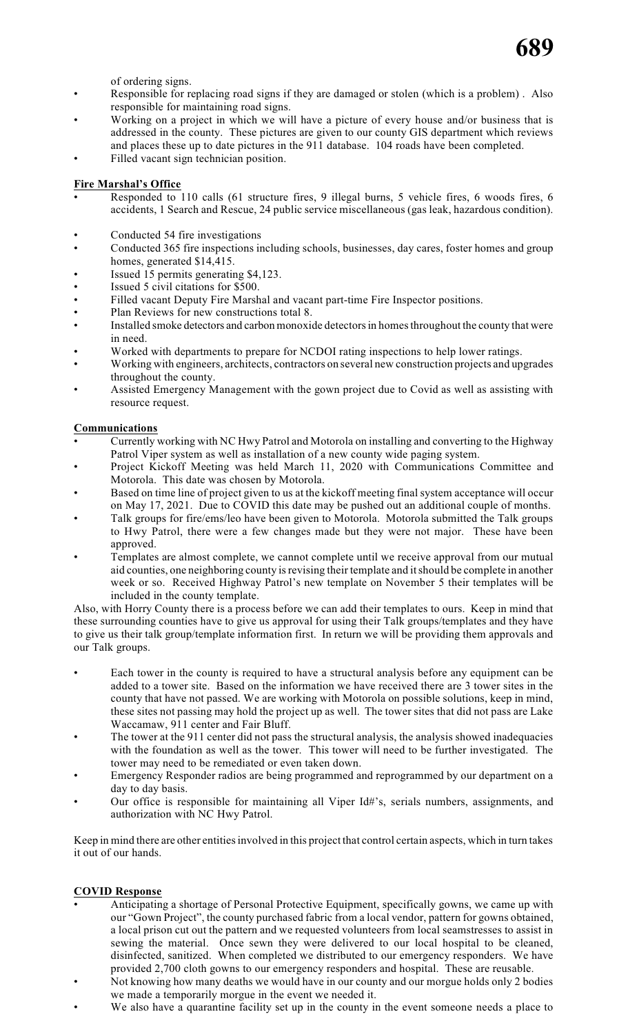

of ordering signs.

- Responsible for replacing road signs if they are damaged or stolen (which is a problem) . Also responsible for maintaining road signs.
- Working on a project in which we will have a picture of every house and/or business that is addressed in the county. These pictures are given to our county GIS department which reviews and places these up to date pictures in the 911 database. 104 roads have been completed.
- Filled vacant sign technician position.

# **Fire Marshal's Office**

- Responded to 110 calls (61 structure fires, 9 illegal burns, 5 vehicle fires, 6 woods fires, 6 accidents, 1 Search and Rescue, 24 public service miscellaneous (gas leak, hazardous condition).
- Conducted 54 fire investigations
- Conducted 365 fire inspections including schools, businesses, day cares, foster homes and group homes, generated \$14,415.
- Issued 15 permits generating \$4,123.
- Issued 5 civil citations for \$500.
- Filled vacant Deputy Fire Marshal and vacant part-time Fire Inspector positions.
- Plan Reviews for new constructions total 8.
- Installed smoke detectors and carbon monoxide detectors in homes throughout the county that were in need.
- Worked with departments to prepare for NCDOI rating inspections to help lower ratings.
- Working with engineers, architects, contractors on several new construction projects and upgrades throughout the county.
- Assisted Emergency Management with the gown project due to Covid as well as assisting with resource request.

# **Communications**

- Currently working with NC Hwy Patrol and Motorola on installing and converting to the Highway Patrol Viper system as well as installation of a new county wide paging system.
- Project Kickoff Meeting was held March 11, 2020 with Communications Committee and Motorola. This date was chosen by Motorola.
- Based on time line of project given to us at the kickoff meeting final system acceptance will occur on May 17, 2021. Due to COVID this date may be pushed out an additional couple of months.
- Talk groups for fire/ems/leo have been given to Motorola. Motorola submitted the Talk groups to Hwy Patrol, there were a few changes made but they were not major. These have been approved.
- Templates are almost complete, we cannot complete until we receive approval from our mutual aid counties, one neighboring county is revising their template and it should be complete in another week or so. Received Highway Patrol's new template on November 5 their templates will be included in the county template.

Also, with Horry County there is a process before we can add their templates to ours. Keep in mind that these surrounding counties have to give us approval for using their Talk groups/templates and they have to give us their talk group/template information first. In return we will be providing them approvals and our Talk groups.

- Each tower in the county is required to have a structural analysis before any equipment can be added to a tower site. Based on the information we have received there are 3 tower sites in the county that have not passed. We are working with Motorola on possible solutions, keep in mind, these sites not passing may hold the project up as well. The tower sites that did not pass are Lake Waccamaw, 911 center and Fair Bluff.
- The tower at the 911 center did not pass the structural analysis, the analysis showed inadequacies with the foundation as well as the tower. This tower will need to be further investigated. The tower may need to be remediated or even taken down.
- Emergency Responder radios are being programmed and reprogrammed by our department on a day to day basis.
- Our office is responsible for maintaining all Viper Id#'s, serials numbers, assignments, and authorization with NC Hwy Patrol.

Keep in mind there are other entities involved in this project that control certain aspects, which in turn takes it out of our hands.

# **COVID Response**

- Anticipating a shortage of Personal Protective Equipment, specifically gowns, we came up with our "Gown Project", the county purchased fabric from a local vendor, pattern for gowns obtained, a local prison cut out the pattern and we requested volunteers from local seamstresses to assist in sewing the material. Once sewn they were delivered to our local hospital to be cleaned, disinfected, sanitized. When completed we distributed to our emergency responders. We have provided 2,700 cloth gowns to our emergency responders and hospital. These are reusable.
- Not knowing how many deaths we would have in our county and our morgue holds only 2 bodies we made a temporarily morgue in the event we needed it.
- We also have a quarantine facility set up in the county in the event someone needs a place to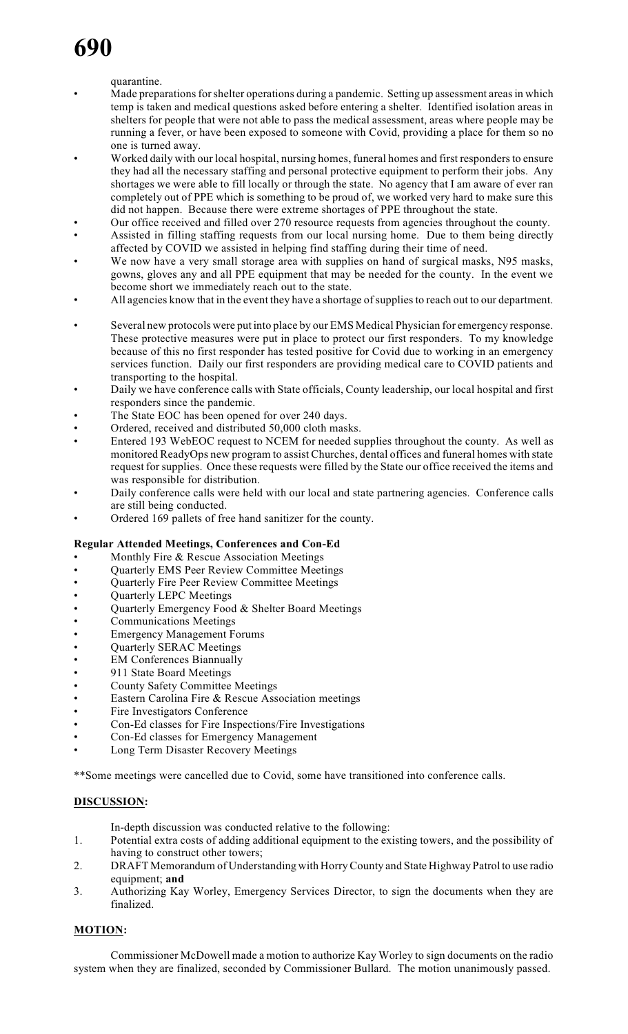# quarantine.

- Made preparations for shelter operations during a pandemic. Setting up assessment areas in which temp is taken and medical questions asked before entering a shelter. Identified isolation areas in shelters for people that were not able to pass the medical assessment, areas where people may be running a fever, or have been exposed to someone with Covid, providing a place for them so no one is turned away.
- Worked daily with our local hospital, nursing homes, funeral homes and first responders to ensure they had all the necessary staffing and personal protective equipment to perform their jobs. Any shortages we were able to fill locally or through the state. No agency that I am aware of ever ran completely out of PPE which is something to be proud of, we worked very hard to make sure this did not happen. Because there were extreme shortages of PPE throughout the state.
- Our office received and filled over 270 resource requests from agencies throughout the county.
- Assisted in filling staffing requests from our local nursing home. Due to them being directly affected by COVID we assisted in helping find staffing during their time of need.
- We now have a very small storage area with supplies on hand of surgical masks, N95 masks, gowns, gloves any and all PPE equipment that may be needed for the county. In the event we become short we immediately reach out to the state.
- All agencies know that in the event they have a shortage of supplies to reach out to our department.
- Several new protocols were put into place by our EMS Medical Physician for emergency response. These protective measures were put in place to protect our first responders. To my knowledge because of this no first responder has tested positive for Covid due to working in an emergency services function. Daily our first responders are providing medical care to COVID patients and transporting to the hospital.
- Daily we have conference calls with State officials, County leadership, our local hospital and first responders since the pandemic.
- The State EOC has been opened for over 240 days.
- Ordered, received and distributed 50,000 cloth masks.
- Entered 193 WebEOC request to NCEM for needed supplies throughout the county. As well as monitored ReadyOps new program to assist Churches, dental offices and funeral homes with state request forsupplies. Once these requests were filled by the State our office received the items and was responsible for distribution.
- Daily conference calls were held with our local and state partnering agencies. Conference calls are still being conducted.
- Ordered 169 pallets of free hand sanitizer for the county.

# **Regular Attended Meetings, Conferences and Con-Ed**

- Monthly Fire  $&$  Rescue Association Meetings
- Quarterly EMS Peer Review Committee Meetings
- Quarterly Fire Peer Review Committee Meetings
- Quarterly LEPC Meetings
- Quarterly Emergency Food & Shelter Board Meetings
- Communications Meetings
- Emergency Management Forums
- Quarterly SERAC Meetings
- **EM Conferences Biannually**
- 911 State Board Meetings
- County Safety Committee Meetings
- Eastern Carolina Fire & Rescue Association meetings
- Fire Investigators Conference
- Con-Ed classes for Fire Inspections/Fire Investigations
- Con-Ed classes for Emergency Management
- Long Term Disaster Recovery Meetings

\*\*Some meetings were cancelled due to Covid, some have transitioned into conference calls.

# **DISCUSSION:**

- In-depth discussion was conducted relative to the following:
- 1. Potential extra costs of adding additional equipment to the existing towers, and the possibility of having to construct other towers;
- 2. DRAFT Memorandum of Understanding with Horry County and State Highway Patrol to use radio equipment; **and**
- 3. Authorizing Kay Worley, Emergency Services Director, to sign the documents when they are finalized.

# **MOTION:**

Commissioner McDowell made a motion to authorize Kay Worley to sign documents on the radio system when they are finalized, seconded by Commissioner Bullard. The motion unanimously passed.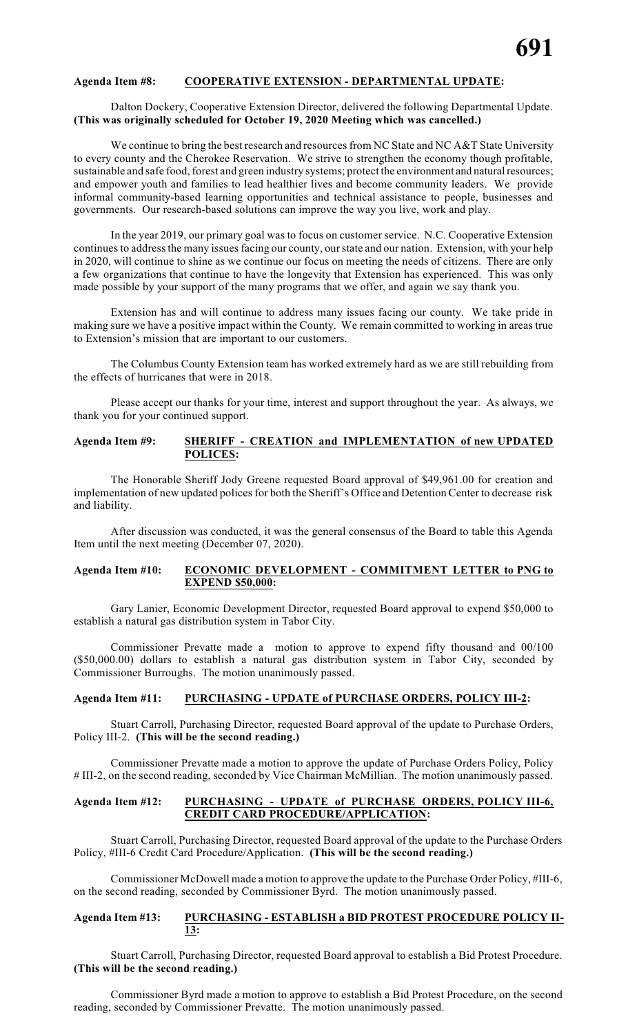### **Agenda Item #8: COOPERATIVE EXTENSION - DEPARTMENTAL UPDATE:**

#### Dalton Dockery, Cooperative Extension Director, delivered the following Departmental Update. **(This was originally scheduled for October 19, 2020 Meeting which was cancelled.)**

We continue to bring the best research and resources from NC State and NC A&T State University to every county and the Cherokee Reservation. We strive to strengthen the economy though profitable, sustainable and safe food, forest and green industry systems; protect the environment and natural resources; and empower youth and families to lead healthier lives and become community leaders. We provide informal community-based learning opportunities and technical assistance to people, businesses and governments. Our research-based solutions can improve the way you live, work and play.

In the year 2019, our primary goal was to focus on customer service. N.C. Cooperative Extension continues to address the many issues facing our county, our state and our nation. Extension, with your help in 2020, will continue to shine as we continue our focus on meeting the needs of citizens. There are only a few organizations that continue to have the longevity that Extension has experienced. This was only made possible by your support of the many programs that we offer, and again we say thank you.

Extension has and will continue to address many issues facing our county. We take pride in making sure we have a positive impact within the County. We remain committed to working in areas true to Extension's mission that are important to our customers.

The Columbus County Extension team has worked extremely hard as we are still rebuilding from the effects of hurricanes that were in 2018.

Please accept our thanks for your time, interest and support throughout the year. As always, we thank you for your continued support.

### **Agenda Item #9: SHERIFF - CREATION and IMPLEMENTATION of new UPDATED POLICES:**

The Honorable Sheriff Jody Greene requested Board approval of \$49,961.00 for creation and implementation of new updated polices for both the Sheriff's Office and Detention Center to decrease risk and liability.

After discussion was conducted, it was the general consensus of the Board to table this Agenda Item until the next meeting (December 07, 2020).

# **Agenda Item #10: ECONOMIC DEVELOPMENT - COMMITMENT LETTER to PNG to EXPEND \$50,000:**

Gary Lanier, Economic Development Director, requested Board approval to expend \$50,000 to establish a natural gas distribution system in Tabor City.

Commissioner Prevatte made a motion to approve to expend fifty thousand and 00/100 (\$50,000.00) dollars to establish a natural gas distribution system in Tabor City, seconded by Commissioner Burroughs. The motion unanimously passed.

### **Agenda Item #11: PURCHASING - UPDATE of PURCHASE ORDERS, POLICY III-2:**

Stuart Carroll, Purchasing Director, requested Board approval of the update to Purchase Orders, Policy III-2. **(This will be the second reading.)**

Commissioner Prevatte made a motion to approve the update of Purchase Orders Policy, Policy # III-2, on the second reading, seconded by Vice Chairman McMillian. The motion unanimously passed.

#### **Agenda Item #12: PURCHASING - UPDATE of PURCHASE ORDERS, POLICY III-6, CREDIT CARD PROCEDURE/APPLICATION:**

Stuart Carroll, Purchasing Director, requested Board approval of the update to the Purchase Orders Policy, #III-6 Credit Card Procedure/Application. **(This will be the second reading.)**

Commissioner McDowell made a motion to approve the update to the Purchase Order Policy, #III-6, on the second reading, seconded by Commissioner Byrd. The motion unanimously passed.

#### **Agenda Item #13: PURCHASING - ESTABLISH a BID PROTEST PROCEDURE POLICY II-13:**

Stuart Carroll, Purchasing Director, requested Board approval to establish a Bid Protest Procedure. **(This will be the second reading.)**

Commissioner Byrd made a motion to approve to establish a Bid Protest Procedure, on the second reading, seconded by Commissioner Prevatte. The motion unanimously passed.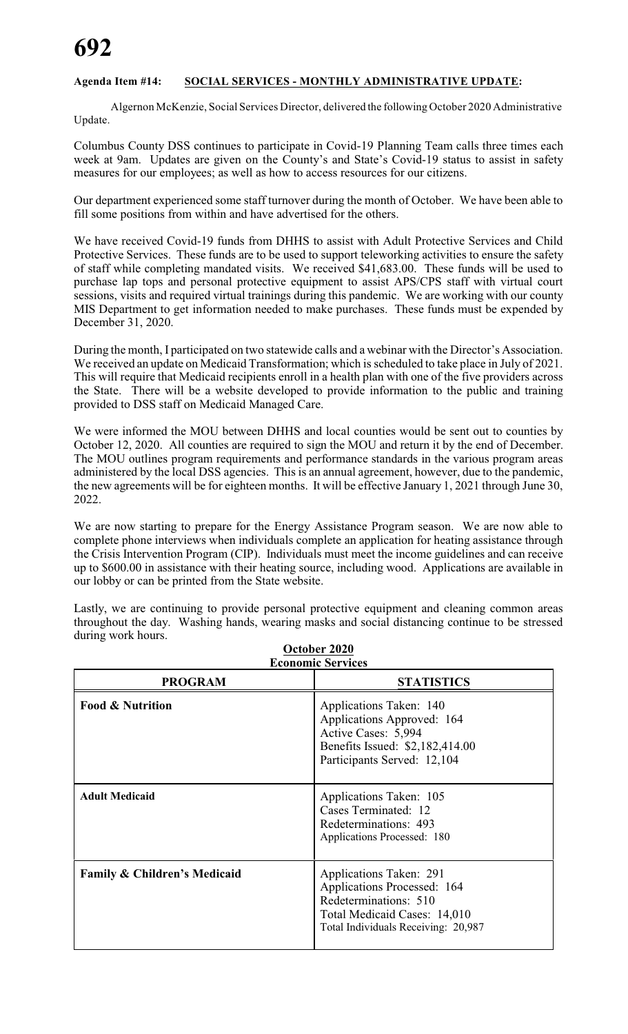# **Agenda Item #14: SOCIAL SERVICES - MONTHLY ADMINISTRATIVE UPDATE:**

Algernon McKenzie, Social Services Director, delivered the following October 2020 Administrative Update.

Columbus County DSS continues to participate in Covid-19 Planning Team calls three times each week at 9am. Updates are given on the County's and State's Covid-19 status to assist in safety measures for our employees; as well as how to access resources for our citizens.

Our department experienced some staff turnover during the month of October. We have been able to fill some positions from within and have advertised for the others.

We have received Covid-19 funds from DHHS to assist with Adult Protective Services and Child Protective Services. These funds are to be used to support teleworking activities to ensure the safety of staff while completing mandated visits. We received \$41,683.00. These funds will be used to purchase lap tops and personal protective equipment to assist APS/CPS staff with virtual court sessions, visits and required virtual trainings during this pandemic. We are working with our county MIS Department to get information needed to make purchases. These funds must be expended by December 31, 2020.

During the month, I participated on two statewide calls and a webinar with the Director's Association. We received an update on Medicaid Transformation; which is scheduled to take place in July of 2021. This will require that Medicaid recipients enroll in a health plan with one of the five providers across the State. There will be a website developed to provide information to the public and training provided to DSS staff on Medicaid Managed Care.

We were informed the MOU between DHHS and local counties would be sent out to counties by October 12, 2020. All counties are required to sign the MOU and return it by the end of December. The MOU outlines program requirements and performance standards in the various program areas administered by the local DSS agencies. This is an annual agreement, however, due to the pandemic, the new agreements will be for eighteen months. It will be effective January 1, 2021 through June 30, 2022.

We are now starting to prepare for the Energy Assistance Program season. We are now able to complete phone interviews when individuals complete an application for heating assistance through the Crisis Intervention Program (CIP). Individuals must meet the income guidelines and can receive up to \$600.00 in assistance with their heating source, including wood. Applications are available in our lobby or can be printed from the State website.

Lastly, we are continuing to provide personal protective equipment and cleaning common areas throughout the day. Washing hands, wearing masks and social distancing continue to be stressed during work hours.

| <b>Economic Services</b>                |                                                                                                                                                        |  |  |
|-----------------------------------------|--------------------------------------------------------------------------------------------------------------------------------------------------------|--|--|
| <b>PROGRAM</b>                          | <b>STATISTICS</b>                                                                                                                                      |  |  |
| <b>Food &amp; Nutrition</b>             | Applications Taken: 140<br>Applications Approved: 164<br>Active Cases: 5,994<br>Benefits Issued: \$2,182,414.00<br>Participants Served: 12,104         |  |  |
| <b>Adult Medicaid</b>                   | Applications Taken: 105<br>Cases Terminated: 12<br>Redeterminations: 493<br>Applications Processed: 180                                                |  |  |
| <b>Family &amp; Children's Medicaid</b> | Applications Taken: 291<br>Applications Processed: 164<br>Redeterminations: 510<br>Total Medicaid Cases: 14,010<br>Total Individuals Receiving: 20,987 |  |  |

**October 2020**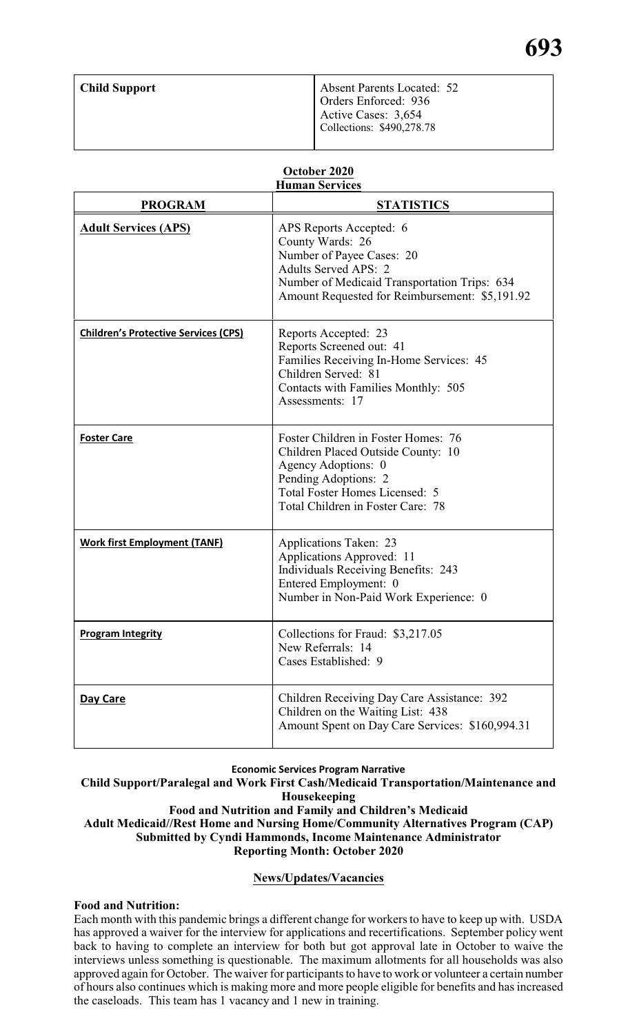| <b>Child Support</b> | <b>Absent Parents Located: 52</b><br>Orders Enforced: 936<br>Active Cases: 3,654 |  |  |
|----------------------|----------------------------------------------------------------------------------|--|--|
|                      | Collections: \$490,278.78                                                        |  |  |

# **October 2020 Human Services**

| <b>PROGRAM</b>                              | <b>STATISTICS</b>                                                                                                                                                                                         |
|---------------------------------------------|-----------------------------------------------------------------------------------------------------------------------------------------------------------------------------------------------------------|
| <b>Adult Services (APS)</b>                 | APS Reports Accepted: 6<br>County Wards: 26<br>Number of Payee Cases: 20<br><b>Adults Served APS: 2</b><br>Number of Medicaid Transportation Trips: 634<br>Amount Requested for Reimbursement: \$5,191.92 |
| <b>Children's Protective Services (CPS)</b> | Reports Accepted: 23<br>Reports Screened out: 41<br>Families Receiving In-Home Services: 45<br>Children Served: 81<br>Contacts with Families Monthly: 505<br>Assessments: 17                              |
| <b>Foster Care</b>                          | Foster Children in Foster Homes: 76<br>Children Placed Outside County: 10<br>Agency Adoptions: 0<br>Pending Adoptions: 2<br>Total Foster Homes Licensed: 5<br>Total Children in Foster Care: 78           |
| <b>Work first Employment (TANF)</b>         | Applications Taken: 23<br>Applications Approved: 11<br><b>Individuals Receiving Benefits: 243</b><br>Entered Employment: 0<br>Number in Non-Paid Work Experience: 0                                       |
| <b>Program Integrity</b>                    | Collections for Fraud: \$3,217.05<br>New Referrals: 14<br>Cases Established: 9                                                                                                                            |
| Day Care                                    | Children Receiving Day Care Assistance: 392<br>Children on the Waiting List: 438<br>Amount Spent on Day Care Services: \$160,994.31                                                                       |

# **Economic Services Program Narrative**

**Child Support/Paralegal and Work First Cash/Medicaid Transportation/Maintenance and Housekeeping Food and Nutrition and Family and Children's Medicaid Adult Medicaid//Rest Home and Nursing Home/Community Alternatives Program (CAP) Submitted by Cyndi Hammonds, Income Maintenance Administrator Reporting Month: October 2020**

# **News/Updates/Vacancies**

# **Food and Nutrition:**

Each month with this pandemic brings a different change for workers to have to keep up with. USDA has approved a waiver for the interview for applications and recertifications. September policy went back to having to complete an interview for both but got approval late in October to waive the interviews unless something is questionable. The maximum allotments for all households was also approved again for October. The waiver for participants to have to work or volunteer a certain number of hours also continues which is making more and more people eligible for benefits and has increased the caseloads. This team has 1 vacancy and 1 new in training.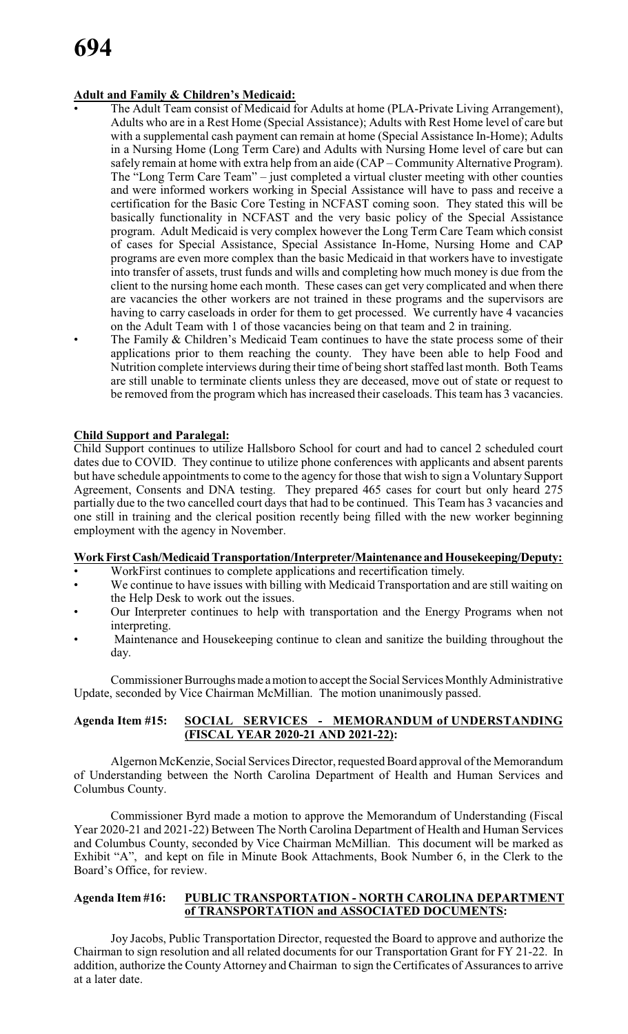# **Adult and Family & Children's Medicaid:**

- The Adult Team consist of Medicaid for Adults at home (PLA-Private Living Arrangement), Adults who are in a Rest Home (Special Assistance); Adults with Rest Home level of care but with a supplemental cash payment can remain at home (Special Assistance In-Home); Adults in a Nursing Home (Long Term Care) and Adults with Nursing Home level of care but can safely remain at home with extra help from an aide (CAP – Community Alternative Program). The "Long Term Care Team" – just completed a virtual cluster meeting with other counties and were informed workers working in Special Assistance will have to pass and receive a certification for the Basic Core Testing in NCFAST coming soon. They stated this will be basically functionality in NCFAST and the very basic policy of the Special Assistance program. Adult Medicaid is very complex however the Long Term Care Team which consist of cases for Special Assistance, Special Assistance In-Home, Nursing Home and CAP programs are even more complex than the basic Medicaid in that workers have to investigate into transfer of assets, trust funds and wills and completing how much money is due from the client to the nursing home each month. These cases can get very complicated and when there are vacancies the other workers are not trained in these programs and the supervisors are having to carry caseloads in order for them to get processed. We currently have 4 vacancies on the Adult Team with 1 of those vacancies being on that team and 2 in training.
- The Family & Children's Medicaid Team continues to have the state process some of their applications prior to them reaching the county. They have been able to help Food and Nutrition complete interviews during their time of being short staffed last month. Both Teams are still unable to terminate clients unless they are deceased, move out of state or request to be removed from the program which has increased their caseloads. This team has 3 vacancies.

# **Child Support and Paralegal:**

Child Support continues to utilize Hallsboro School for court and had to cancel 2 scheduled court dates due to COVID. They continue to utilize phone conferences with applicants and absent parents but have schedule appointments to come to the agency for those that wish to sign a Voluntary Support Agreement, Consents and DNA testing. They prepared 465 cases for court but only heard 275 partially due to the two cancelled court days that had to be continued. This Team has 3 vacancies and one still in training and the clerical position recently being filled with the new worker beginning employment with the agency in November.

# **WorkFirstCash/MedicaidTransportation/Interpreter/Maintenance andHousekeeping/Deputy:**

- WorkFirst continues to complete applications and recertification timely.
- We continue to have issues with billing with Medicaid Transportation and are still waiting on the Help Desk to work out the issues.
- Our Interpreter continues to help with transportation and the Energy Programs when not interpreting.
- Maintenance and Housekeeping continue to clean and sanitize the building throughout the day.

Commissioner Burroughs made a motion to accept the Social Services Monthly Administrative Update, seconded by Vice Chairman McMillian. The motion unanimously passed.

# **Agenda Item #15: SOCIAL SERVICES - MEMORANDUM of UNDERSTANDING (FISCAL YEAR 2020-21 AND 2021-22):**

Algernon McKenzie, Social Services Director, requested Board approval of the Memorandum of Understanding between the North Carolina Department of Health and Human Services and Columbus County.

Commissioner Byrd made a motion to approve the Memorandum of Understanding (Fiscal Year 2020-21 and 2021-22) Between The North Carolina Department of Health and Human Services and Columbus County, seconded by Vice Chairman McMillian. This document will be marked as Exhibit "A", and kept on file in Minute Book Attachments, Book Number 6, in the Clerk to the Board's Office, for review.

# **Agenda Item #16: PUBLIC TRANSPORTATION - NORTH CAROLINA DEPARTMENT of TRANSPORTATION and ASSOCIATED DOCUMENTS:**

Joy Jacobs, Public Transportation Director, requested the Board to approve and authorize the Chairman to sign resolution and all related documents for our Transportation Grant for FY 21-22. In addition, authorize the County Attorney and Chairman to sign the Certificates of Assurances to arrive at a later date.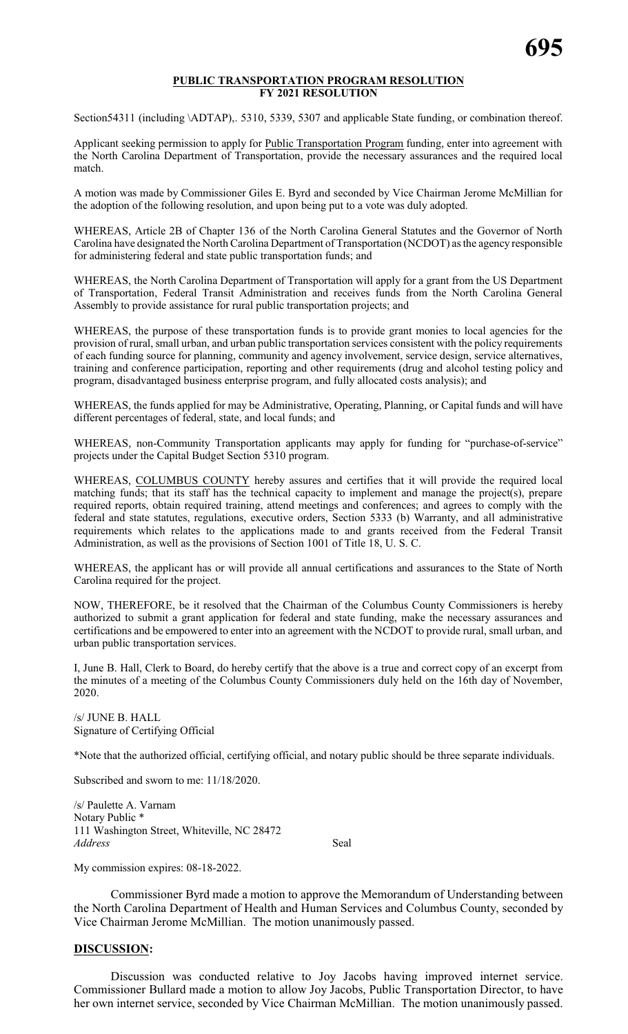#### **PUBLIC TRANSPORTATION PROGRAM RESOLUTION FY 2021 RESOLUTION**

Section54311 (including \ADTAP),. 5310, 5339, 5307 and applicable State funding, or combination thereof.

Applicant seeking permission to apply for Public Transportation Program funding, enter into agreement with the North Carolina Department of Transportation, provide the necessary assurances and the required local match.

A motion was made by Commissioner Giles E. Byrd and seconded by Vice Chairman Jerome McMillian for the adoption of the following resolution, and upon being put to a vote was duly adopted.

WHEREAS, Article 2B of Chapter 136 of the North Carolina General Statutes and the Governor of North Carolina have designated the North Carolina Department of Transportation (NCDOT) asthe agency responsible for administering federal and state public transportation funds; and

WHEREAS, the North Carolina Department of Transportation will apply for a grant from the US Department of Transportation, Federal Transit Administration and receives funds from the North Carolina General Assembly to provide assistance for rural public transportation projects; and

WHEREAS, the purpose of these transportation funds is to provide grant monies to local agencies for the provision of rural, small urban, and urban public transportation services consistent with the policy requirements of each funding source for planning, community and agency involvement, service design, service alternatives, training and conference participation, reporting and other requirements (drug and alcohol testing policy and program, disadvantaged business enterprise program, and fully allocated costs analysis); and

WHEREAS, the funds applied for may be Administrative, Operating, Planning, or Capital funds and will have different percentages of federal, state, and local funds; and

WHEREAS, non-Community Transportation applicants may apply for funding for "purchase-of-service" projects under the Capital Budget Section 5310 program.

WHEREAS, COLUMBUS COUNTY hereby assures and certifies that it will provide the required local matching funds; that its staff has the technical capacity to implement and manage the project(s), prepare required reports, obtain required training, attend meetings and conferences; and agrees to comply with the federal and state statutes, regulations, executive orders, Section 5333 (b) Warranty, and all administrative requirements which relates to the applications made to and grants received from the Federal Transit Administration, as well as the provisions of Section 1001 of Title 18, U. S. C.

WHEREAS, the applicant has or will provide all annual certifications and assurances to the State of North Carolina required for the project.

NOW, THEREFORE, be it resolved that the Chairman of the Columbus County Commissioners is hereby authorized to submit a grant application for federal and state funding, make the necessary assurances and certifications and be empowered to enter into an agreement with the NCDOT to provide rural, small urban, and urban public transportation services.

I, June B. Hall, Clerk to Board, do hereby certify that the above is a true and correct copy of an excerpt from the minutes of a meeting of the Columbus County Commissioners duly held on the 16th day of November, 2020.

/s/ JUNE B. HALL Signature of Certifying Official

\*Note that the authorized official, certifying official, and notary public should be three separate individuals.

Subscribed and sworn to me: 11/18/2020.

/s/ Paulette A. Varnam Notary Public \* 111 Washington Street, Whiteville, NC 28472 *Address* Seal

My commission expires: 08-18-2022.

Commissioner Byrd made a motion to approve the Memorandum of Understanding between the North Carolina Department of Health and Human Services and Columbus County, seconded by Vice Chairman Jerome McMillian. The motion unanimously passed.

# **DISCUSSION:**

Discussion was conducted relative to Joy Jacobs having improved internet service. Commissioner Bullard made a motion to allow Joy Jacobs, Public Transportation Director, to have her own internet service, seconded by Vice Chairman McMillian. The motion unanimously passed.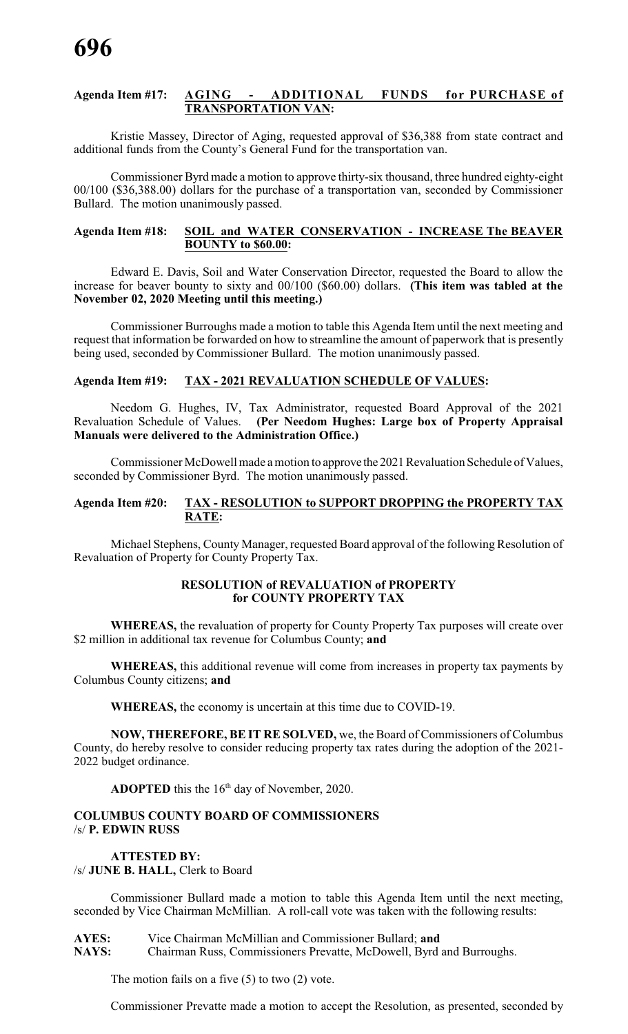# **Agenda Item #17: AGING - ADDITIONAL FUNDS for PURCHASE of TRANSPORTATION VAN:**

Kristie Massey, Director of Aging, requested approval of \$36,388 from state contract and additional funds from the County's General Fund for the transportation van.

Commissioner Byrd made a motion to approve thirty-six thousand, three hundred eighty-eight 00/100 (\$36,388.00) dollars for the purchase of a transportation van, seconded by Commissioner Bullard. The motion unanimously passed.

# **Agenda Item #18: SOIL and WATER CONSERVATION - INCREASE The BEAVER BOUNTY to \$60.00:**

Edward E. Davis, Soil and Water Conservation Director, requested the Board to allow the increase for beaver bounty to sixty and 00/100 (\$60.00) dollars. **(This item was tabled at the November 02, 2020 Meeting until this meeting.)**

Commissioner Burroughs made a motion to table this Agenda Item until the next meeting and request that information be forwarded on how to streamline the amount of paperwork that is presently being used, seconded by Commissioner Bullard. The motion unanimously passed.

# **Agenda Item #19: TAX - 2021 REVALUATION SCHEDULE OF VALUES:**

Needom G. Hughes, IV, Tax Administrator, requested Board Approval of the 2021 Revaluation Schedule of Values. **(Per Needom Hughes: Large box of Property Appraisal Manuals were delivered to the Administration Office.)**

Commissioner McDowell made a motion to approve the 2021 Revaluation Schedule of Values, seconded by Commissioner Byrd. The motion unanimously passed.

# **Agenda Item #20: TAX - RESOLUTION to SUPPORT DROPPING the PROPERTY TAX RATE:**

Michael Stephens, County Manager, requested Board approval of the following Resolution of Revaluation of Property for County Property Tax.

# **RESOLUTION of REVALUATION of PROPERTY for COUNTY PROPERTY TAX**

**WHEREAS,** the revaluation of property for County Property Tax purposes will create over \$2 million in additional tax revenue for Columbus County; **and**

**WHEREAS,** this additional revenue will come from increases in property tax payments by Columbus County citizens; **and**

**WHEREAS,** the economy is uncertain at this time due to COVID-19.

**NOW, THEREFORE, BE IT RE SOLVED,** we, the Board of Commissioners of Columbus County, do hereby resolve to consider reducing property tax rates during the adoption of the 2021- 2022 budget ordinance.

**ADOPTED** this the  $16<sup>th</sup>$  day of November, 2020.

# **COLUMBUS COUNTY BOARD OF COMMISSIONERS** /s/ **P. EDWIN RUSS**

# **ATTESTED BY:** /s/ **JUNE B. HALL,** Clerk to Board

Commissioner Bullard made a motion to table this Agenda Item until the next meeting, seconded by Vice Chairman McMillian. A roll-call vote was taken with the following results:

**AYES:** Vice Chairman McMillian and Commissioner Bullard; **and NAYS:** Chairman Russ, Commissioners Prevatte, McDowell, Byrd and Burroughs.

The motion fails on a five  $(5)$  to two  $(2)$  vote.

Commissioner Prevatte made a motion to accept the Resolution, as presented, seconded by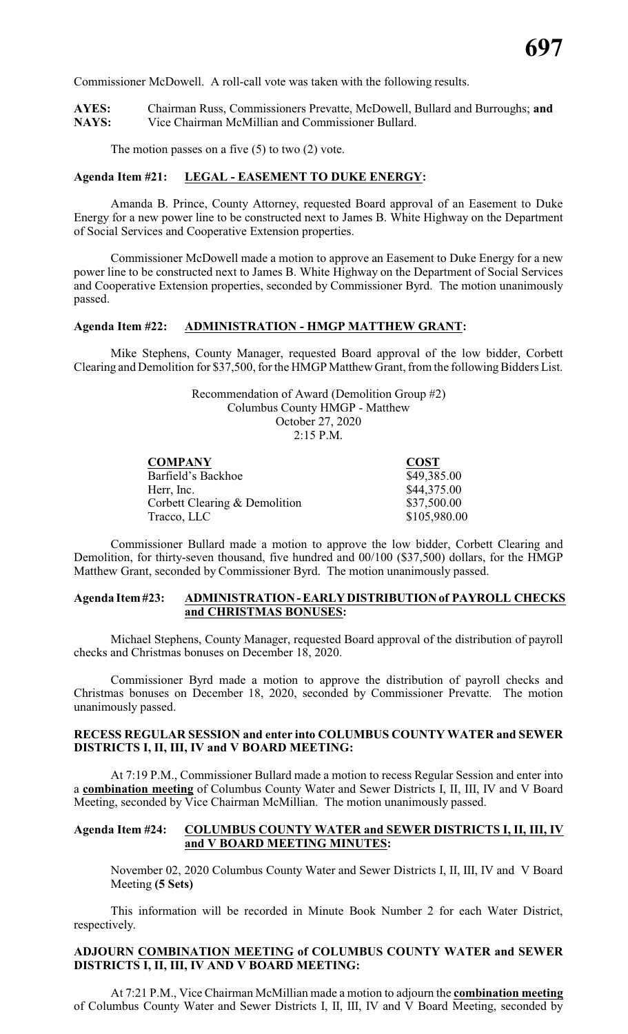Commissioner McDowell. A roll-call vote was taken with the following results.

**AYES:** Chairman Russ, Commissioners Prevatte, McDowell, Bullard and Burroughs; **and** Vice Chairman McMillian and Commissioner Bullard.

The motion passes on a five  $(5)$  to two  $(2)$  vote.

# **Agenda Item #21: LEGAL - EASEMENT TO DUKE ENERGY:**

Amanda B. Prince, County Attorney, requested Board approval of an Easement to Duke Energy for a new power line to be constructed next to James B. White Highway on the Department of Social Services and Cooperative Extension properties.

Commissioner McDowell made a motion to approve an Easement to Duke Energy for a new power line to be constructed next to James B. White Highway on the Department of Social Services and Cooperative Extension properties, seconded by Commissioner Byrd. The motion unanimously passed.

# **Agenda Item #22: ADMINISTRATION - HMGP MATTHEW GRANT:**

Mike Stephens, County Manager, requested Board approval of the low bidder, Corbett Clearing and Demolition for \$37,500, for the HMGP Matthew Grant, from the following Bidders List.

> Recommendation of Award (Demolition Group #2) Columbus County HMGP - Matthew October 27, 2020 2:15 P.M.

| <b>COMPANY</b>                | <b>COST</b>  |
|-------------------------------|--------------|
| Barfield's Backhoe            | \$49,385.00  |
| Herr, Inc.                    | \$44,375.00  |
| Corbett Clearing & Demolition | \$37,500.00  |
| Tracco, LLC                   | \$105,980.00 |

Commissioner Bullard made a motion to approve the low bidder, Corbett Clearing and Demolition, for thirty-seven thousand, five hundred and 00/100 (\$37,500) dollars, for the HMGP Matthew Grant, seconded by Commissioner Byrd. The motion unanimously passed.

# **Agenda Item#23: ADMINISTRATION-EARLYDISTRIBUTION of PAYROLL CHECKS and CHRISTMAS BONUSES:**

Michael Stephens, County Manager, requested Board approval of the distribution of payroll checks and Christmas bonuses on December 18, 2020.

Commissioner Byrd made a motion to approve the distribution of payroll checks and Christmas bonuses on December 18, 2020, seconded by Commissioner Prevatte. The motion unanimously passed.

# **RECESS REGULAR SESSION and enter into COLUMBUS COUNTY WATER and SEWER DISTRICTS I, II, III, IV and V BOARD MEETING:**

At 7:19 P.M., Commissioner Bullard made a motion to recess Regular Session and enter into a **combination meeting** of Columbus County Water and Sewer Districts I, II, III, IV and V Board Meeting, seconded by Vice Chairman McMillian. The motion unanimously passed.

# **Agenda Item #24: COLUMBUS COUNTY WATER and SEWER DISTRICTS I, II, III, IV and V BOARD MEETING MINUTES:**

November 02, 2020 Columbus County Water and Sewer Districts I, II, III, IV and V Board Meeting **(5 Sets)**

This information will be recorded in Minute Book Number 2 for each Water District, respectively.

# **ADJOURN COMBINATION MEETING of COLUMBUS COUNTY WATER and SEWER DISTRICTS I, II, III, IV AND V BOARD MEETING:**

At 7:21 P.M., Vice Chairman McMillian made a motion to adjourn the **combination meeting** of Columbus County Water and Sewer Districts I, II, III, IV and V Board Meeting, seconded by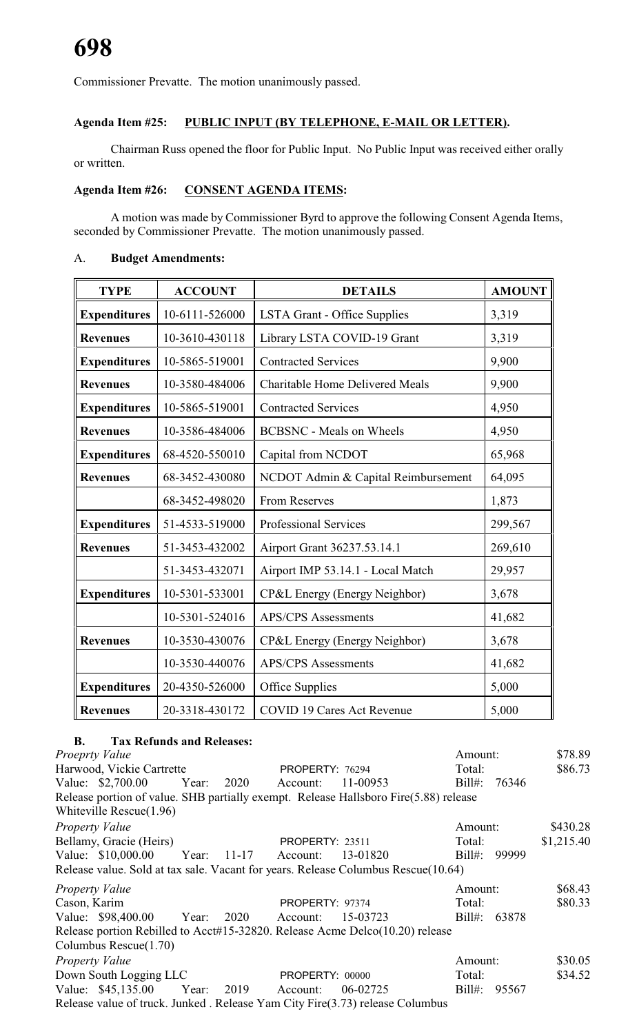Commissioner Prevatte. The motion unanimously passed.

# **Agenda Item #25: PUBLIC INPUT (BY TELEPHONE, E-MAIL OR LETTER).**

Chairman Russ opened the floor for Public Input. No Public Input was received either orally or written.

# **Agenda Item #26: CONSENT AGENDA ITEMS:**

A motion was made by Commissioner Byrd to approve the following Consent Agenda Items, seconded by Commissioner Prevatte. The motion unanimously passed.

# A. **Budget Amendments:**

| <b>TYPE</b>                                                            | <b>ACCOUNT</b> | <b>DETAILS</b>                         | <b>AMOUNT</b> |
|------------------------------------------------------------------------|----------------|----------------------------------------|---------------|
| <b>Expenditures</b>                                                    | 10-6111-526000 | LSTA Grant - Office Supplies           | 3,319         |
| <b>Revenues</b>                                                        | 10-3610-430118 | Library LSTA COVID-19 Grant            | 3,319         |
| <b>Expenditures</b>                                                    | 10-5865-519001 | <b>Contracted Services</b>             | 9,900         |
| <b>Revenues</b>                                                        | 10-3580-484006 | <b>Charitable Home Delivered Meals</b> | 9,900         |
| <b>Expenditures</b>                                                    | 10-5865-519001 | <b>Contracted Services</b>             | 4,950         |
| <b>Revenues</b>                                                        | 10-3586-484006 | <b>BCBSNC</b> - Meals on Wheels        | 4,950         |
| <b>Expenditures</b>                                                    | 68-4520-550010 | Capital from NCDOT                     | 65,968        |
| <b>Revenues</b>                                                        | 68-3452-430080 | NCDOT Admin & Capital Reimbursement    | 64,095        |
|                                                                        | 68-3452-498020 | <b>From Reserves</b>                   | 1,873         |
| <b>Expenditures</b>                                                    | 51-4533-519000 | <b>Professional Services</b>           | 299,567       |
| <b>Revenues</b>                                                        | 51-3453-432002 | Airport Grant 36237.53.14.1            | 269,610       |
|                                                                        | 51-3453-432071 | Airport IMP 53.14.1 - Local Match      | 29,957        |
| <b>Expenditures</b>                                                    | 10-5301-533001 | CP&L Energy (Energy Neighbor)          | 3,678         |
|                                                                        | 10-5301-524016 | <b>APS/CPS</b> Assessments             | 41,682        |
| <b>Revenues</b>                                                        | 10-3530-430076 | CP&L Energy (Energy Neighbor)          | 3,678         |
|                                                                        | 10-3530-440076 | <b>APS/CPS</b> Assessments             | 41,682        |
| <b>Expenditures</b>                                                    | 20-4350-526000 | Office Supplies                        | 5,000         |
| <b>COVID 19 Cares Act Revenue</b><br>20-3318-430172<br><b>Revenues</b> |                | 5,000                                  |               |

# **B. Tax Refunds and Releases:**

*Proeprty Value* \$78.89 Harwood, Vickie Cartrette **PROPERTY: 76294** Total: \$86.73 Value: \$2,700.00 Year: 2020 Account: 11-00953 Bill#: 76346 Release portion of value. SHB partially exempt. Release Hallsboro Fire(5.88) release Whiteville Rescue(1.96) *Property Value* \$430.28 Bellamy, Gracie (Heirs) PROPERTY: 23511 Total: \$1,215.40 Value: \$10,000.00 Year: 11-17 Account: 13-01820 Bill#: 99999 Release value. Sold at tax sale. Vacant for years. Release Columbus Rescue(10.64) *Property Value* \$68.43 Cason, Karim PROPERTY: 97374 Total: \$80.33 Value: \$98,400.00 Year: 2020 Account: 15-03723 Bill#: 63878 Release portion Rebilled to Acct#15-32820. Release Acme Delco(10.20) release Columbus Rescue(1.70) *Property Value* \$30.05 Down South Logging LLC **PROPERTY:** 00000 Total: \$34.52 Value: \$45,135.00 Year: 2019 Account: 06-02725 Bill#: 95567 Release value of truck. Junked . Release Yam City Fire(3.73) release Columbus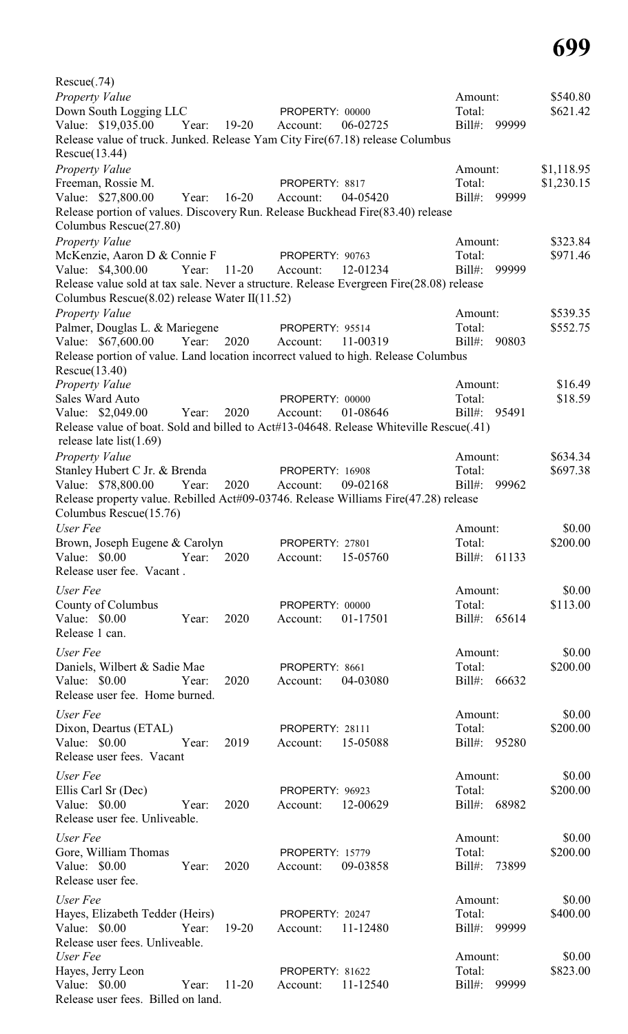Rescue(.74) *Property Value* \$540.80 Down South Logging LLC PROPERTY: 00000 Total: \$621.42 Value: \$19,035.00 Year: 19-20 Account: 06-02725 Bill#: 99999 Release value of truck. Junked. Release Yam City Fire(67.18) release Columbus Rescue(13.44) *Property Value* \$1,118.95 Freeman, Rossie M. PROPERTY: 8817 Total: \$1,230.15 Value: \$27,800.00 Year: 16-20 Account: 04-05420 Bill#: 99999 Release portion of values. Discovery Run. Release Buckhead Fire(83.40) release Columbus Rescue(27.80) *Property Value* \$323.84 McKenzie, Aaron D & Connie F PROPERTY: 90763 Total: \$971.46 Value: \$4,300.00 Year: 11-20 Account: 12-01234 Bill#: 99999 Release value sold at tax sale. Never a structure. Release Evergreen Fire(28.08) release Columbus Rescue(8.02) release Water II(11.52) *Property Value* \$539.35 Palmer, Douglas L. & Mariegene PROPERTY: 95514 Total: \$552.75 Value: \$67,600.00 Year: 2020 Account: 11-00319 Bill#: 90803 Release portion of value. Land location incorrect valued to high. Release Columbus Rescue(13.40) *Property Value* \$16.49 Sales Ward Auto **PROPERTY:** 00000 Total: \$18.59 Value: \$2,049.00 Year: 2020 Account: 01-08646 Bill#: 95491 Release value of boat. Sold and billed to Act#13-04648. Release Whiteville Rescue(.41) release late list(1.69) *Property Value* \$634.34 Stanley Hubert C Jr. & Brenda PROPERTY: 16908 Total: \$697.38 Value: \$78,800.00 Year: 2020 Account: 09-02168 Bill#: 99962 Release property value. Rebilled Act#09-03746. Release Williams Fire(47.28) release Columbus Rescue(15.76) *User Fee* \$0.00 Brown, Joseph Eugene & Carolyn PROPERTY: 27801 Total: \$200.00 Value: \$0.00 Year: 2020 Account: 15-05760 Bill#: 61133 Release user fee. Vacant . *User Fee* \$0.00 County of Columbus **PROPERTY:** 00000 Total: \$113.00 Value: \$0.00 Year: 2020 Account: 01-17501 Bill#: 65614 Release 1 can. *User Fee* \$0.00 Daniels, Wilbert & Sadie Mae PROPERTY: 8661 Total: \$200.00 Value: \$0.00 Year: 2020 Account: 04-03080 Bill#: 66632 Release user fee. Home burned. *User Fee* \$0.00 Dixon, Deartus (ETAL) PROPERTY: 28111 Total: \$200.00 Value: \$0.00 Year: 2019 Account: 15-05088 Bill#: 95280 Release user fees. Vacant *User Fee* \$0.00 Ellis Carl Sr (Dec) PROPERTY: 96923 Total: \$200.00 Value: \$0.00 Year: 2020 Account: 12-00629 Bill#: 68982 Release user fee. Unliveable. *User Fee* \$0.00 Gore, William Thomas **PROPERTY:** 15779 Total: \$200.00 Value: \$0.00 Year: 2020 Account: 09-03858 Bill#: 73899 Release user fee. *User Fee* \$0.00 Hayes, Elizabeth Tedder (Heirs) PROPERTY: 20247 Total: \$400.00 Value: \$0.00 Year: 19-20 Account: 11-12480 Bill#: 99999 Release user fees. Unliveable. *User Fee* \$0.00 Hayes, Jerry Leon **PROPERTY:** 81622 Total: \$823.00<br>
Value: \$0.00 Year: 11-20 Account: 11-12540 Bill#: 99999 Value: \$0.00 Year: 11-20 Account: 11-12540 Release user fees. Billed on land.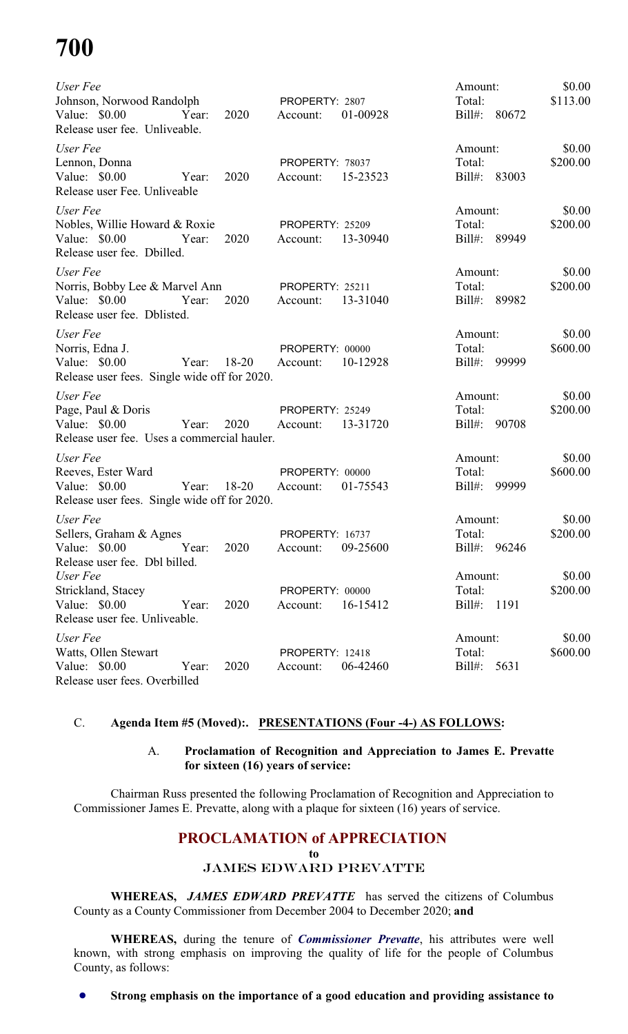# **700**

| User Fee<br>Johnson, Norwood Randolph<br>Value: \$0.00<br>Release user fee. Unliveable.         | Year: | 2020      | PROPERTY: 2807<br>Account:  | 01-00928 | Amount:<br>Total:<br>$Bill#$ :    | 80672 | \$0.00<br>\$113.00 |
|-------------------------------------------------------------------------------------------------|-------|-----------|-----------------------------|----------|-----------------------------------|-------|--------------------|
| User Fee<br>Lennon, Donna<br>Value: \$0.00<br>Release user Fee. Unliveable                      | Year: | 2020      | PROPERTY: 78037<br>Account: | 15-23523 | Amount:<br>Total:<br>$Bill#$ :    | 83003 | \$0.00<br>\$200.00 |
| User Fee<br>Nobles, Willie Howard & Roxie<br>Value: \$0.00<br>Release user fee. Dbilled.        | Year: | 2020      | PROPERTY: 25209<br>Account: | 13-30940 | Amount:<br>Total:<br>$Bill#$ :    | 89949 | \$0.00<br>\$200.00 |
| User Fee<br>Norris, Bobby Lee & Marvel Ann<br>Value: \$0.00<br>Release user fee. Dblisted.      | Year: | 2020      | PROPERTY: 25211<br>Account: | 13-31040 | Amount:<br>Total:<br>Bill#: 89982 |       | \$0.00<br>\$200.00 |
| User Fee<br>Norris, Edna J.<br>Value: $$0.00$<br>Release user fees. Single wide off for 2020.   | Year: | $18 - 20$ | PROPERTY: 00000<br>Account: | 10-12928 | Amount:<br>Total:<br>Bill#:       | 99999 | \$0.00<br>\$600.00 |
| User Fee<br>Page, Paul & Doris<br>Value: $$0.00$<br>Release user fee. Uses a commercial hauler. | Year: | 2020      | PROPERTY: 25249<br>Account: | 13-31720 | Amount:<br>Total:<br>Bill#: 90708 |       | \$0.00<br>\$200.00 |
| User Fee<br>Reeves, Ester Ward<br>Value: \$0.00<br>Release user fees. Single wide off for 2020. | Year: | $18 - 20$ | PROPERTY: 00000<br>Account: | 01-75543 | Amount:<br>Total:<br>Bill#: 99999 |       | \$0.00<br>\$600.00 |
| User Fee<br>Sellers, Graham & Agnes<br>Value: \$0.00 Year:<br>Release user fee. Dbl billed.     |       | 2020      | PROPERTY: 16737<br>Account: | 09-25600 | Amount:<br>Total:<br>Bill#: 96246 |       | \$0.00<br>\$200.00 |
| User Fee<br>Strickland, Stacey<br>Value: $$0.00$<br>Release user fee. Unliveable.               | Year: | 2020      | PROPERTY: 00000<br>Account: | 16-15412 | Amount:<br>Total:<br>Bill#: 1191  |       | \$0.00<br>\$200.00 |
| User Fee<br>Watts, Ollen Stewart<br>Value: \$0.00<br>Release user fees. Overbilled              | Year: | 2020      | PROPERTY: 12418<br>Account: | 06-42460 | Amount:<br>Total:<br>Bill#: 5631  |       | \$0.00<br>\$600.00 |

# C. **Agenda Item #5 (Moved):. PRESENTATIONS (Four -4-) AS FOLLOWS:**

# A. **Proclamation of Recognition and Appreciation to James E. Prevatte for sixteen (16) years of service:**

Chairman Russ presented the following Proclamation of Recognition and Appreciation to Commissioner James E. Prevatte, along with a plaque for sixteen (16) years of service.

# **PROCLAMATION of APPRECIATION**

**to**

# JAMES EDWARD PREVATTE

**WHEREAS,** *JAMES EDWARD PREVATTE* has served the citizens of Columbus County as a County Commissioner from December 2004 to December 2020; **and**

**WHEREAS,** during the tenure of *Commissioner Prevatte*, his attributes were well known, with strong emphasis on improving the quality of life for the people of Columbus County, as follows:

! **Strong emphasis on the importance of a good education and providing assistance to**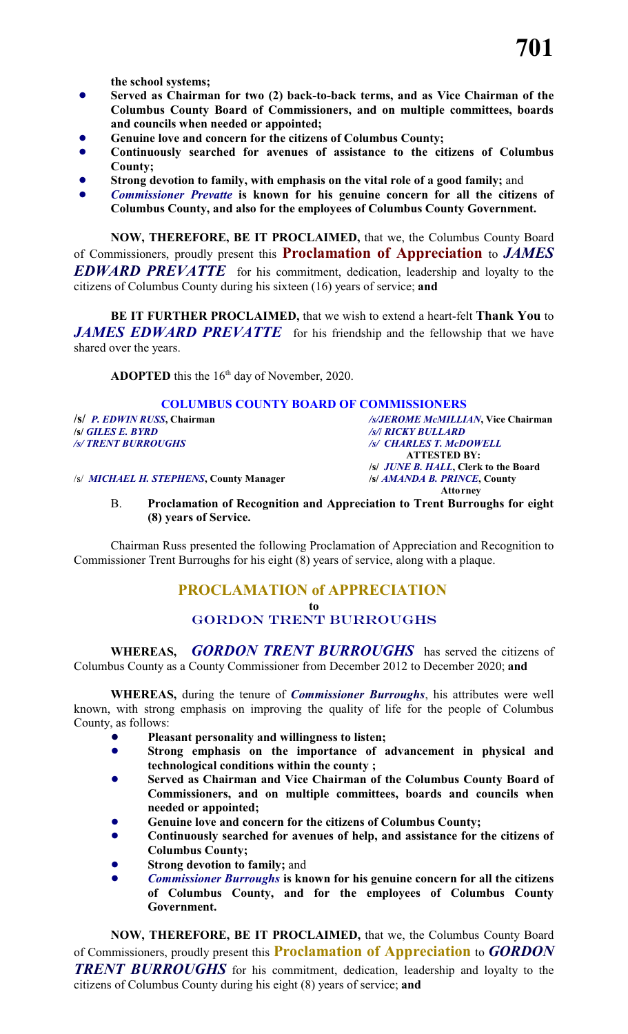**the school systems;**

- ! **Served as Chairman for two (2) back-to-back terms, and as Vice Chairman of the Columbus County Board of Commissioners, and on multiple committees, boards and councils when needed or appointed;**
- ! **Genuine love and concern for the citizens of Columbus County;**
- ! **Continuously searched for avenues of assistance to the citizens of Columbus County;**
- ! **Strong devotion to family, with emphasis on the vital role of a good family;** and
- ! *Commissioner Prevatte* **is known for his genuine concern for all the citizens of Columbus County, and also for the employees of Columbus County Government.**

**NOW, THEREFORE, BE IT PROCLAIMED,** that we, the Columbus County Board of Commissioners, proudly present this **Proclamation of Appreciation** to *JAMES EDWARD PREVATTE* for his commitment, dedication, leadership and loyalty to the citizens of Columbus County during his sixteen (16) years of service; **and**

**BE IT FURTHER PROCLAIMED,** that we wish to extend a heart-felt **Thank You** to *JAMES EDWARD PREVATTE* for his friendship and the fellowship that we have shared over the years.

**ADOPTED** this the  $16<sup>th</sup>$  day of November, 2020.

# **COLUMBUS COUNTY BOARD OF COMMISSIONERS**

*/s/ TRENT BURROUGHS /s/ CHARLES T. McDOWELL*

/s/ *MICHAEL H. STEPHENS***, County Manager /s/** *AMANDA B. PRINCE***, County** 

**/s/** *P. EDWIN RUSS***, Chairman** */s/JEROME McMILLIAN***, Vice Chairman /s/** *GILES E. BYRD /s/***/** *RICKY BULLARD* **ATTESTED BY: /s/** *JUNE B. HALL***, Clerk to the Board Attorney**

B. **Proclamation of Recognition and Appreciation to Trent Burroughs for eight (8) years of Service.**

Chairman Russ presented the following Proclamation of Appreciation and Recognition to Commissioner Trent Burroughs for his eight (8) years of service, along with a plaque.

# **PROCLAMATION of APPRECIATION**

**to**

# GORDON TRENT BURROUGHS

**WHEREAS,** *GORDON TRENT BURROUGHS* has served the citizens of Columbus County as a County Commissioner from December 2012 to December 2020; **and**

**WHEREAS,** during the tenure of *Commissioner Burroughs*, his attributes were well known, with strong emphasis on improving the quality of life for the people of Columbus County, as follows:

- ! **Pleasant personality and willingness to listen;**
- ! **Strong emphasis on the importance of advancement in physical and technological conditions within the county ;**
- ! **Served as Chairman and Vice Chairman of the Columbus County Board of Commissioners, and on multiple committees, boards and councils when needed or appointed;**
- ! **Genuine love and concern for the citizens of Columbus County;**
- ! **Continuously searched for avenues of help, and assistance for the citizens of Columbus County;**
- ! **Strong devotion to family;** and
- ! *Commissioner Burroughs* **is known for his genuine concern for all the citizens of Columbus County, and for the employees of Columbus County Government.**

**NOW, THEREFORE, BE IT PROCLAIMED,** that we, the Columbus County Board of Commissioners, proudly present this **Proclamation of Appreciation** to *GORDON TRENT BURROUGHS* for his commitment, dedication, leadership and loyalty to the citizens of Columbus County during his eight (8) years of service; **and**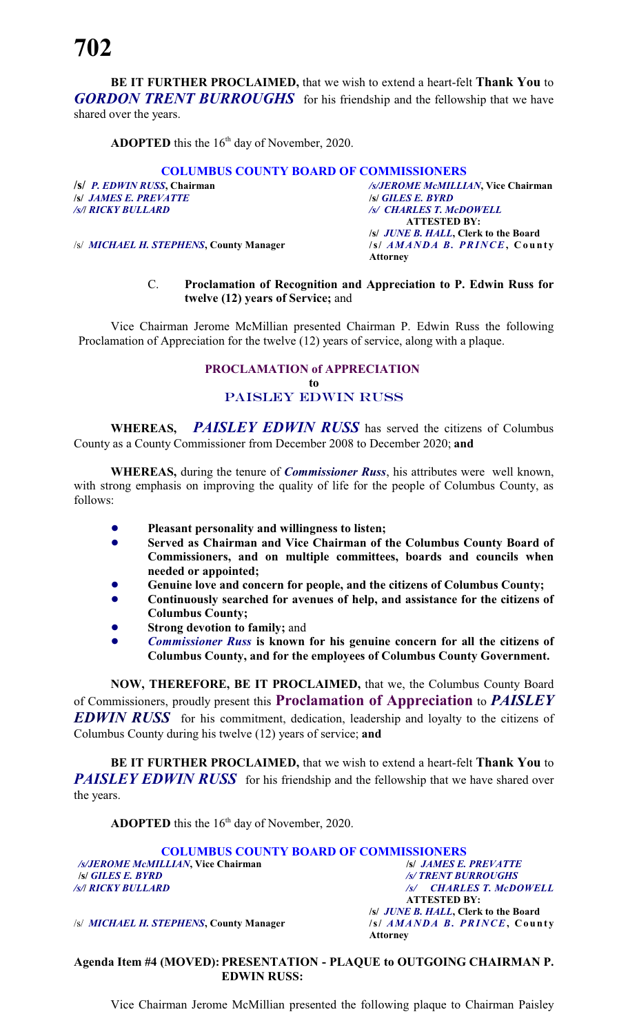**BE IT FURTHER PROCLAIMED,** that we wish to extend a heart-felt **Thank You** to *GORDON TRENT BURROUGHS* for his friendship and the fellowship that we have shared over the years.

**ADOPTED** this the  $16<sup>th</sup>$  day of November, 2020.

# **COLUMBUS COUNTY BOARD OF COMMISSIONERS**

*/s/ JAMES E. PREVATTE*<br>*/s/| RICKY BULLARD* 

**/s/** *P. EDWIN RUSS***, Chairman** */s/JEROME McMILLIAN***, Vice Chairman** */s/***/** *RICKY BULLARD /s/ CHARLES T. McDOWELL* **ATTESTED BY: /s/** *JUNE B. HALL***, Clerk to the Board Attorney**

/s/ *MICHAEL H. STEPHENS***, County Manager /s/** *AMANDA B. PRIN CE***, C o u nt y**

# C. **Proclamation of Recognition and Appreciation to P. Edwin Russ for twelve (12) years of Service;** and

Vice Chairman Jerome McMillian presented Chairman P. Edwin Russ the following Proclamation of Appreciation for the twelve (12) years of service, along with a plaque.

# **PROCLAMATION of APPRECIATION to** PAISLEY EDWIN RUSS

**WHEREAS,** *PAISLEY EDWIN RUSS* has served the citizens of Columbus County as a County Commissioner from December 2008 to December 2020; **and**

**WHEREAS,** during the tenure of *Commissioner Russ*, his attributes were well known, with strong emphasis on improving the quality of life for the people of Columbus County, as follows:

- ! **Pleasant personality and willingness to listen;**
- ! **Served as Chairman and Vice Chairman of the Columbus County Board of Commissioners, and on multiple committees, boards and councils when needed or appointed;**
- ! **Genuine love and concern for people, and the citizens of Columbus County;**
- ! **Continuously searched for avenues of help, and assistance for the citizens of Columbus County;**
- **Strong devotion to family; and**
- ! *Commissioner Russ* **is known for his genuine concern for all the citizens of Columbus County, and for the employees of Columbus County Government.**

**NOW, THEREFORE, BE IT PROCLAIMED,** that we, the Columbus County Board of Commissioners, proudly present this **Proclamation of Appreciation** to *PAISLEY EDWIN RUSS* for his commitment, dedication, leadership and loyalty to the citizens of Columbus County during his twelve (12) years of service; **and**

**BE IT FURTHER PROCLAIMED,** that we wish to extend a heart-felt **Thank You** to **PAISLEY EDWIN RUSS** for his friendship and the fellowship that we have shared over the years.

**ADOPTED** this the  $16<sup>th</sup>$  day of November, 2020.

**COLUMBUS COUNTY BOARD OF COMMISSIONERS**<br> *COLUMBUS COUNTY BOARD OF COMMISSIONERS /s/JEROME McMILLIAN***, Vice Chairman /s/** *JAMES E. PREVATTE* **/s/** *GILES E. BYRD /s/ TRENT BURROUGHS* 

/s/ *MICHAEL H. STEPHENS***, County Manager /s/** *AMAN D A B. PRIN CE***, Count y**

*/s/***/** *RICKY BULLARD /s/ CHARLES T. McDOWELL* **ATTESTED BY: /s/** *JUNE B. HALL***, Clerk to the Board Attorney**

**Agenda Item #4 (MOVED): PRESENTATION - PLAQUE to OUTGOING CHAIRMAN P. EDWIN RUSS:**

Vice Chairman Jerome McMillian presented the following plaque to Chairman Paisley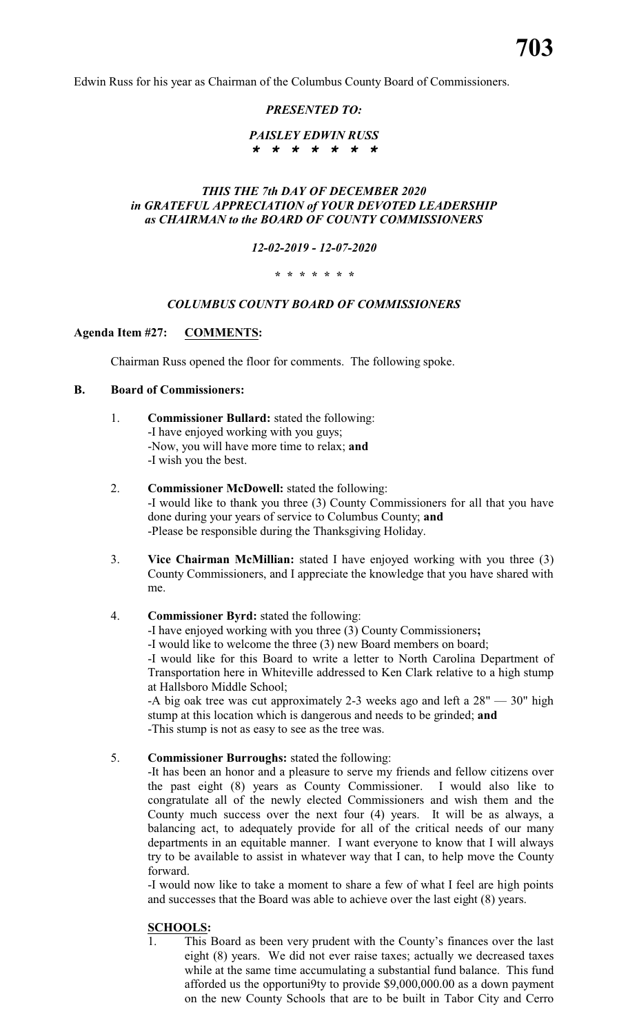Edwin Russ for his year as Chairman of the Columbus County Board of Commissioners.

# *PRESENTED TO:*

# *PAISLEY EDWIN RUSS \* \* \* \* \* \* \**

# *THIS THE 7th DAY OF DECEMBER 2020 in GRATEFUL APPRECIATION of YOUR DEVOTED LEADERSHIP as CHAIRMAN to the BOARD OF COUNTY COMMISSIONERS*

# *12-02-2019 - 12-07-2020*

# *\* \* \* \* \* \* \**

# *COLUMBUS COUNTY BOARD OF COMMISSIONERS*

# **Agenda Item #27: COMMENTS:**

Chairman Russ opened the floor for comments. The following spoke.

# **B. Board of Commissioners:**

- 1. **Commissioner Bullard:** stated the following: -I have enjoyed working with you guys; -Now, you will have more time to relax; **and** -I wish you the best.
- 2. **Commissioner McDowell:** stated the following: -I would like to thank you three (3) County Commissioners for all that you have done during your years of service to Columbus County; **and** -Please be responsible during the Thanksgiving Holiday.
- 3. **Vice Chairman McMillian:** stated I have enjoyed working with you three (3) County Commissioners, and I appreciate the knowledge that you have shared with me.
- 4. **Commissioner Byrd:** stated the following:

-I have enjoyed working with you three (3) County Commissioners**;**

-I would like to welcome the three (3) new Board members on board;

-I would like for this Board to write a letter to North Carolina Department of Transportation here in Whiteville addressed to Ken Clark relative to a high stump at Hallsboro Middle School;

-A big oak tree was cut approximately 2-3 weeks ago and left a 28" — 30" high stump at this location which is dangerous and needs to be grinded; **and** -This stump is not as easy to see as the tree was.

# 5. **Commissioner Burroughs:** stated the following:

-It has been an honor and a pleasure to serve my friends and fellow citizens over the past eight (8) years as County Commissioner. I would also like to congratulate all of the newly elected Commissioners and wish them and the County much success over the next four (4) years. It will be as always, a balancing act, to adequately provide for all of the critical needs of our many departments in an equitable manner. I want everyone to know that I will always try to be available to assist in whatever way that I can, to help move the County forward.

-I would now like to take a moment to share a few of what I feel are high points and successes that the Board was able to achieve over the last eight (8) years.

# **SCHOOLS:**

1. This Board as been very prudent with the County's finances over the last eight (8) years. We did not ever raise taxes; actually we decreased taxes while at the same time accumulating a substantial fund balance. This fund afforded us the opportuni9ty to provide \$9,000,000.00 as a down payment on the new County Schools that are to be built in Tabor City and Cerro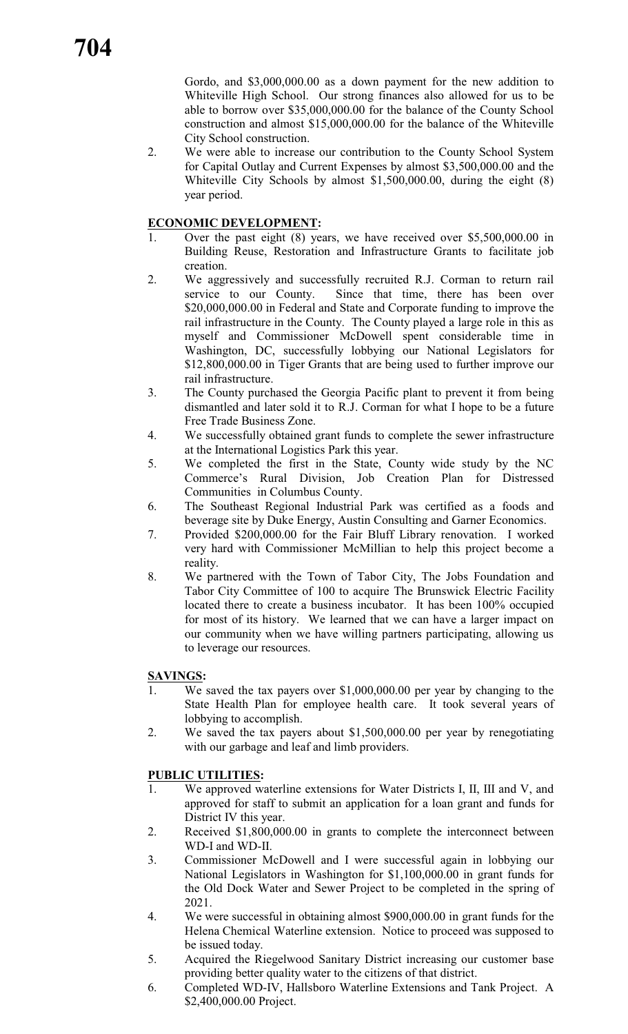Gordo, and \$3,000,000.00 as a down payment for the new addition to Whiteville High School. Our strong finances also allowed for us to be able to borrow over \$35,000,000.00 for the balance of the County School construction and almost \$15,000,000.00 for the balance of the Whiteville City School construction.

2. We were able to increase our contribution to the County School System for Capital Outlay and Current Expenses by almost \$3,500,000.00 and the Whiteville City Schools by almost \$1,500,000.00, during the eight (8) year period.

# **ECONOMIC DEVELOPMENT:**

- 1. Over the past eight (8) years, we have received over \$5,500,000.00 in Building Reuse, Restoration and Infrastructure Grants to facilitate job creation.
- 2. We aggressively and successfully recruited R.J. Corman to return rail service to our County. Since that time, there has been over \$20,000,000.00 in Federal and State and Corporate funding to improve the rail infrastructure in the County. The County played a large role in this as myself and Commissioner McDowell spent considerable time in Washington, DC, successfully lobbying our National Legislators for \$12,800,000.00 in Tiger Grants that are being used to further improve our rail infrastructure.
- 3. The County purchased the Georgia Pacific plant to prevent it from being dismantled and later sold it to R.J. Corman for what I hope to be a future Free Trade Business Zone.
- 4. We successfully obtained grant funds to complete the sewer infrastructure at the International Logistics Park this year.
- 5. We completed the first in the State, County wide study by the NC Commerce's Rural Division, Job Creation Plan for Distressed Communities in Columbus County.
- 6. The Southeast Regional Industrial Park was certified as a foods and beverage site by Duke Energy, Austin Consulting and Garner Economics.
- 7. Provided \$200,000.00 for the Fair Bluff Library renovation. I worked very hard with Commissioner McMillian to help this project become a reality.
- 8. We partnered with the Town of Tabor City, The Jobs Foundation and Tabor City Committee of 100 to acquire The Brunswick Electric Facility located there to create a business incubator. It has been 100% occupied for most of its history. We learned that we can have a larger impact on our community when we have willing partners participating, allowing us to leverage our resources.

# **SAVINGS:**

- We saved the tax payers over  $$1,000,000.00$  per year by changing to the State Health Plan for employee health care. It took several years of lobbying to accomplish.
- 2. We saved the tax payers about \$1,500,000.00 per year by renegotiating with our garbage and leaf and limb providers.

# **PUBLIC UTILITIES:**

- 1. We approved waterline extensions for Water Districts I, II, III and V, and approved for staff to submit an application for a loan grant and funds for District IV this year.
- 2. Received \$1,800,000.00 in grants to complete the interconnect between WD-I and WD-II.
- 3. Commissioner McDowell and I were successful again in lobbying our National Legislators in Washington for \$1,100,000.00 in grant funds for the Old Dock Water and Sewer Project to be completed in the spring of 2021.
- 4. We were successful in obtaining almost \$900,000.00 in grant funds for the Helena Chemical Waterline extension. Notice to proceed was supposed to be issued today.
- 5. Acquired the Riegelwood Sanitary District increasing our customer base providing better quality water to the citizens of that district.
- 6. Completed WD-IV, Hallsboro Waterline Extensions and Tank Project. A \$2,400,000.00 Project.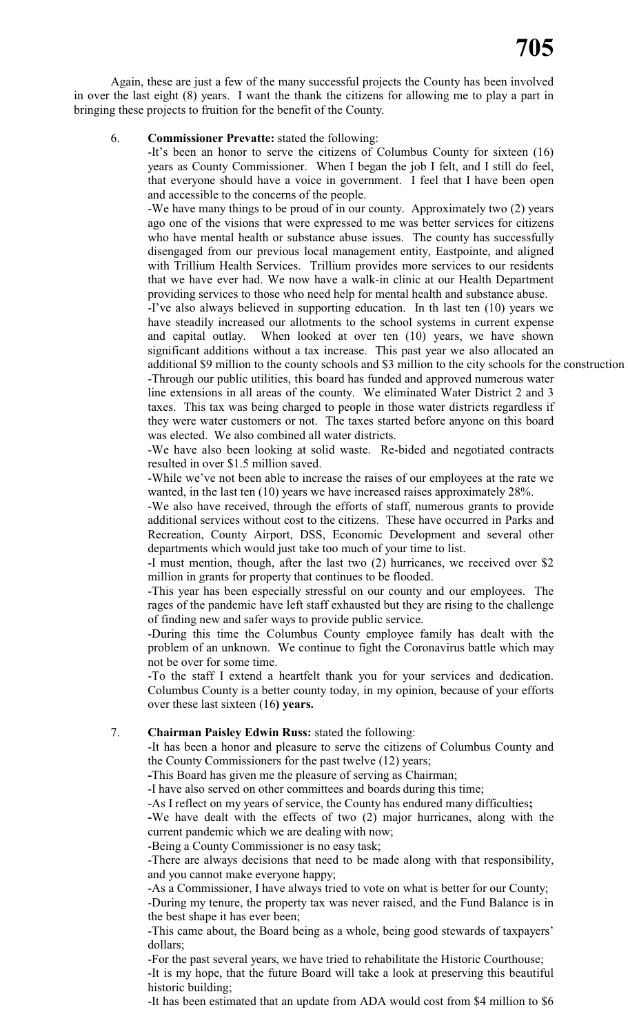Again, these are just a few of the many successful projects the County has been involved in over the last eight (8) years. I want the thank the citizens for allowing me to play a part in bringing these projects to fruition for the benefit of the County.

# 6. **Commissioner Prevatte:** stated the following:

-It's been an honor to serve the citizens of Columbus County for sixteen (16) years as County Commissioner. When I began the job I felt, and I still do feel, that everyone should have a voice in government. I feel that I have been open and accessible to the concerns of the people.

-We have many things to be proud of in our county. Approximately two (2) years ago one of the visions that were expressed to me was better services for citizens who have mental health or substance abuse issues. The county has successfully disengaged from our previous local management entity, Eastpointe, and aligned with Trillium Health Services. Trillium provides more services to our residents that we have ever had. We now have a walk-in clinic at our Health Department providing services to those who need help for mental health and substance abuse. -I've also always believed in supporting education. In th last ten (10) years we have steadily increased our allotments to the school systems in current expense and capital outlay. When looked at over ten (10) years, we have shown significant additions without a tax increase. This past year we also allocated an additional \$9 million to the county schools and \$3 million to the city schools for the construction -Through our public utilities, this board has funded and approved numerous water line extensions in all areas of the county. We eliminated Water District 2 and 3 taxes. This tax was being charged to people in those water districts regardless if they were water customers or not. The taxes started before anyone on this board

was elected. We also combined all water districts. -We have also been looking at solid waste. Re-bided and negotiated contracts resulted in over \$1.5 million saved.

-While we've not been able to increase the raises of our employees at the rate we wanted, in the last ten (10) years we have increased raises approximately 28%.

-We also have received, through the efforts of staff, numerous grants to provide additional services without cost to the citizens. These have occurred in Parks and Recreation, County Airport, DSS, Economic Development and several other departments which would just take too much of your time to list.

-I must mention, though, after the last two (2) hurricanes, we received over \$2 million in grants for property that continues to be flooded.

-This year has been especially stressful on our county and our employees. The rages of the pandemic have left staff exhausted but they are rising to the challenge of finding new and safer ways to provide public service.

-During this time the Columbus County employee family has dealt with the problem of an unknown. We continue to fight the Coronavirus battle which may not be over for some time.

-To the staff I extend a heartfelt thank you for your services and dedication. Columbus County is a better county today, in my opinion, because of your efforts over these last sixteen (16**) years.**

# 7. **Chairman Paisley Edwin Russ:** stated the following:

-It has been a honor and pleasure to serve the citizens of Columbus County and the County Commissioners for the past twelve (12) years;

**-**This Board has given me the pleasure of serving as Chairman;

-I have also served on other committees and boards during this time;

-As I reflect on my years of service, the County has endured many difficulties**;**

**-**We have dealt with the effects of two (2) major hurricanes, along with the current pandemic which we are dealing with now;

-Being a County Commissioner is no easy task;

-There are always decisions that need to be made along with that responsibility, and you cannot make everyone happy;

-As a Commissioner, I have always tried to vote on what is better for our County;

-During my tenure, the property tax was never raised, and the Fund Balance is in the best shape it has ever been;

-This came about, the Board being as a whole, being good stewards of taxpayers' dollars;

-For the past several years, we have tried to rehabilitate the Historic Courthouse; -It is my hope, that the future Board will take a look at preserving this beautiful historic building;

-It has been estimated that an update from ADA would cost from \$4 million to \$6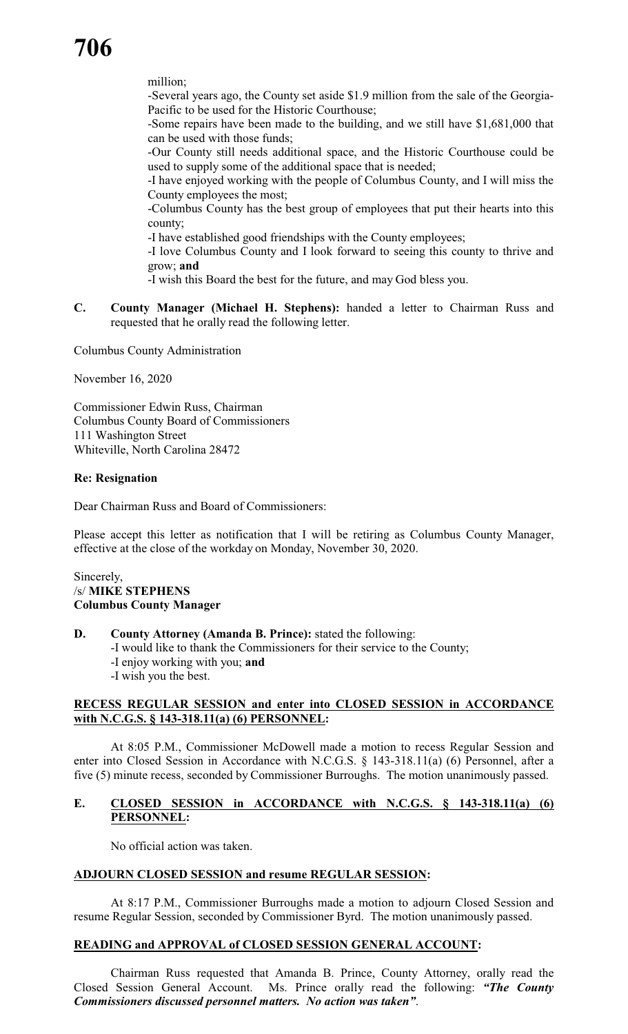million;

-Several years ago, the County set aside \$1.9 million from the sale of the Georgia-Pacific to be used for the Historic Courthouse;

-Some repairs have been made to the building, and we still have \$1,681,000 that can be used with those funds;

-Our County still needs additional space, and the Historic Courthouse could be used to supply some of the additional space that is needed;

-I have enjoyed working with the people of Columbus County, and I will miss the County employees the most;

-Columbus County has the best group of employees that put their hearts into this county;

-I have established good friendships with the County employees;

-I love Columbus County and I look forward to seeing this county to thrive and grow; **and**

- -I wish this Board the best for the future, and may God bless you.
- **C. County Manager (Michael H. Stephens):** handed a letter to Chairman Russ and requested that he orally read the following letter.

Columbus County Administration

November 16, 2020

Commissioner Edwin Russ, Chairman Columbus County Board of Commissioners 111 Washington Street Whiteville, North Carolina 28472

# **Re: Resignation**

Dear Chairman Russ and Board of Commissioners:

Please accept this letter as notification that I will be retiring as Columbus County Manager, effective at the close of the workday on Monday, November 30, 2020.

Sincerely, /s/ **MIKE STEPHENS Columbus County Manager**

- **D. County Attorney (Amanda B. Prince):** stated the following:
	- -I would like to thank the Commissioners for their service to the County;
	- -I enjoy working with you; **and**
	- -I wish you the best.

# **RECESS REGULAR SESSION and enter into CLOSED SESSION in ACCORDANCE with N.C.G.S. § 143-318.11(a) (6) PERSONNEL:**

At 8:05 P.M., Commissioner McDowell made a motion to recess Regular Session and enter into Closed Session in Accordance with N.C.G.S. § 143-318.11(a) (6) Personnel, after a five (5) minute recess, seconded by Commissioner Burroughs. The motion unanimously passed.

# **E. CLOSED SESSION in ACCORDANCE with N.C.G.S. § 143-318.11(a) (6) PERSONNEL:**

No official action was taken.

# **ADJOURN CLOSED SESSION and resume REGULAR SESSION:**

At 8:17 P.M., Commissioner Burroughs made a motion to adjourn Closed Session and resume Regular Session, seconded by Commissioner Byrd. The motion unanimously passed.

# **READING and APPROVAL of CLOSED SESSION GENERAL ACCOUNT:**

Chairman Russ requested that Amanda B. Prince, County Attorney, orally read the Closed Session General Account. Ms. Prince orally read the following: *"The County Commissioners discussed personnel matters. No action was taken"*.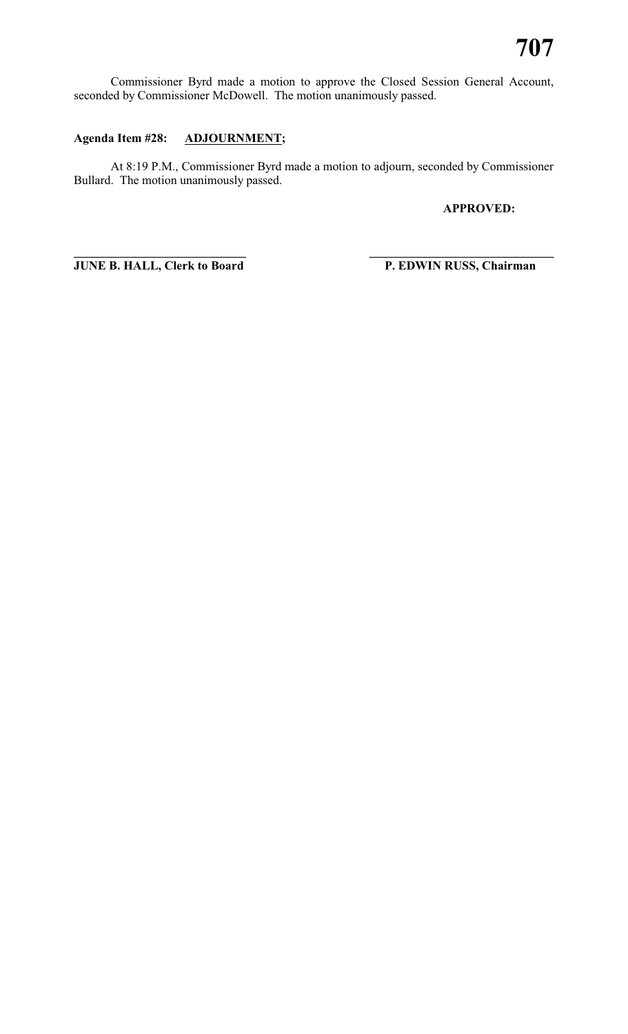Commissioner Byrd made a motion to approve the Closed Session General Account, seconded by Commissioner McDowell. The motion unanimously passed.

# **Agenda Item #28: ADJOURNMENT;**

At 8:19 P.M., Commissioner Byrd made a motion to adjourn, seconded by Commissioner Bullard. The motion unanimously passed.

**\_\_\_\_\_\_\_\_\_\_\_\_\_\_\_\_\_\_\_\_\_\_\_\_\_\_\_\_ \_\_\_\_\_\_\_\_\_\_\_\_\_\_\_\_\_\_\_\_\_\_\_\_\_\_\_\_\_\_**

# **APPROVED:**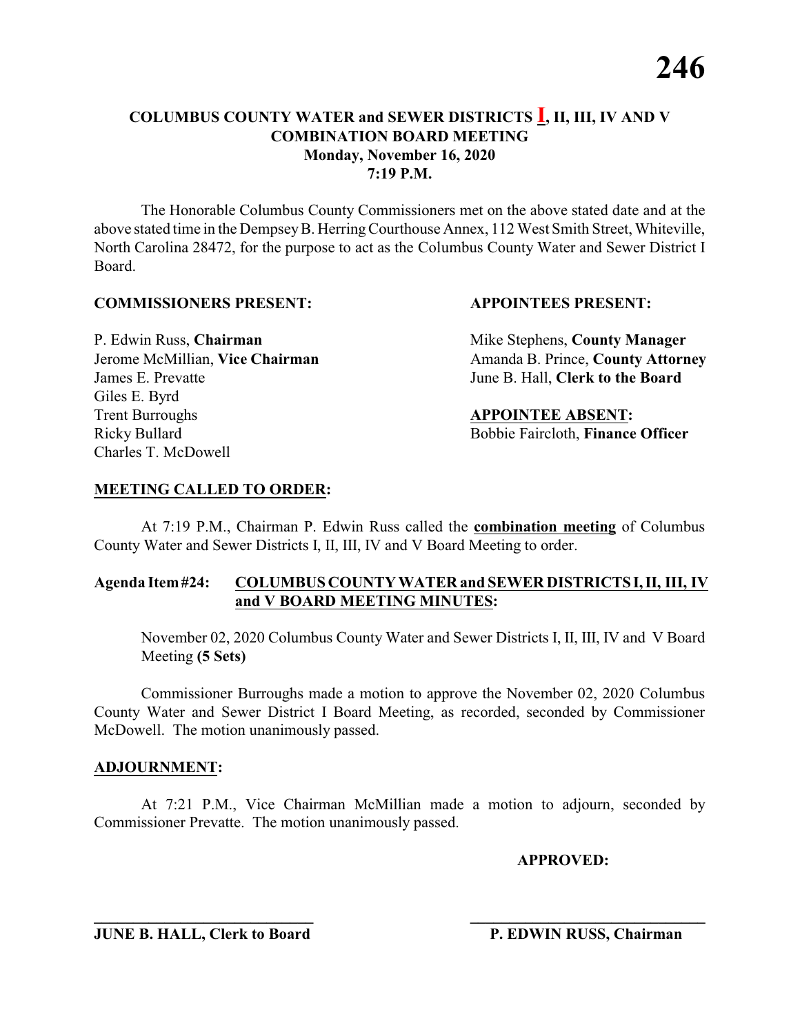The Honorable Columbus County Commissioners met on the above stated date and at the above stated time in the DempseyB. HerringCourthouse Annex, 112 West Smith Street, Whiteville, North Carolina 28472, for the purpose to act as the Columbus County Water and Sewer District I Board.

# **COMMISSIONERS PRESENT: APPOINTEES PRESENT:**

James E. Prevatte June B. Hall, **Clerk to the Board** Giles E. Byrd **Trent Burroughs APPOINTEE ABSENT:** Ricky Bullard **Bobbie Faircloth, Finance Officer** Charles T. McDowell

P. Edwin Russ, **Chairman** Mike Stephens, **County Manager** Jerome McMillian, Vice Chairman Amanda B. Prince, County Attorney

# **MEETING CALLED TO ORDER:**

At 7:19 P.M., Chairman P. Edwin Russ called the **combination meeting** of Columbus County Water and Sewer Districts I, II, III, IV and V Board Meeting to order.

# **Agenda Item#24: COLUMBUS COUNTY WATER and SEWER DISTRICTS I,II, III, IV and V BOARD MEETING MINUTES:**

November 02, 2020 Columbus County Water and Sewer Districts I, II, III, IV and V Board Meeting **(5 Sets)**

Commissioner Burroughs made a motion to approve the November 02, 2020 Columbus County Water and Sewer District I Board Meeting, as recorded, seconded by Commissioner McDowell. The motion unanimously passed.

# **ADJOURNMENT:**

At 7:21 P.M., Vice Chairman McMillian made a motion to adjourn, seconded by Commissioner Prevatte. The motion unanimously passed.

**\_\_\_\_\_\_\_\_\_\_\_\_\_\_\_\_\_\_\_\_\_\_\_\_\_\_\_\_ \_\_\_\_\_\_\_\_\_\_\_\_\_\_\_\_\_\_\_\_\_\_\_\_\_\_\_\_\_\_**

**APPROVED:**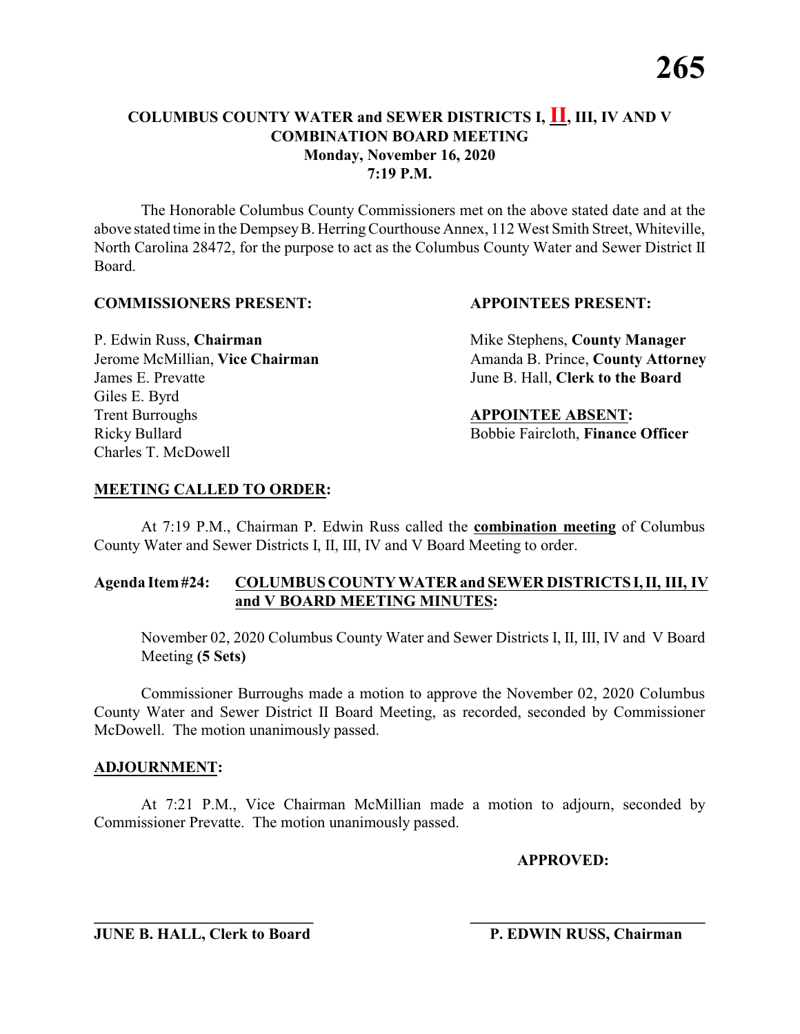The Honorable Columbus County Commissioners met on the above stated date and at the above stated time in the DempseyB. HerringCourthouse Annex, 112 West Smith Street, Whiteville, North Carolina 28472, for the purpose to act as the Columbus County Water and Sewer District II Board.

# **COMMISSIONERS PRESENT: APPOINTEES PRESENT:**

James E. Prevatte June B. Hall, **Clerk to the Board** Giles E. Byrd **Trent Burroughs APPOINTEE ABSENT:** Ricky Bullard **Bobbie Faircloth, Finance Officer** Charles T. McDowell

P. Edwin Russ, **Chairman** Mike Stephens, **County Manager** Jerome McMillian, Vice Chairman Amanda B. Prince, County Attorney

# **MEETING CALLED TO ORDER:**

At 7:19 P.M., Chairman P. Edwin Russ called the **combination meeting** of Columbus County Water and Sewer Districts I, II, III, IV and V Board Meeting to order.

# **Agenda Item#24: COLUMBUS COUNTY WATER and SEWER DISTRICTS I,II, III, IV and V BOARD MEETING MINUTES:**

November 02, 2020 Columbus County Water and Sewer Districts I, II, III, IV and V Board Meeting **(5 Sets)**

Commissioner Burroughs made a motion to approve the November 02, 2020 Columbus County Water and Sewer District II Board Meeting, as recorded, seconded by Commissioner McDowell. The motion unanimously passed.

# **ADJOURNMENT:**

At 7:21 P.M., Vice Chairman McMillian made a motion to adjourn, seconded by Commissioner Prevatte. The motion unanimously passed.

**\_\_\_\_\_\_\_\_\_\_\_\_\_\_\_\_\_\_\_\_\_\_\_\_\_\_\_\_ \_\_\_\_\_\_\_\_\_\_\_\_\_\_\_\_\_\_\_\_\_\_\_\_\_\_\_\_\_\_**

**APPROVED:**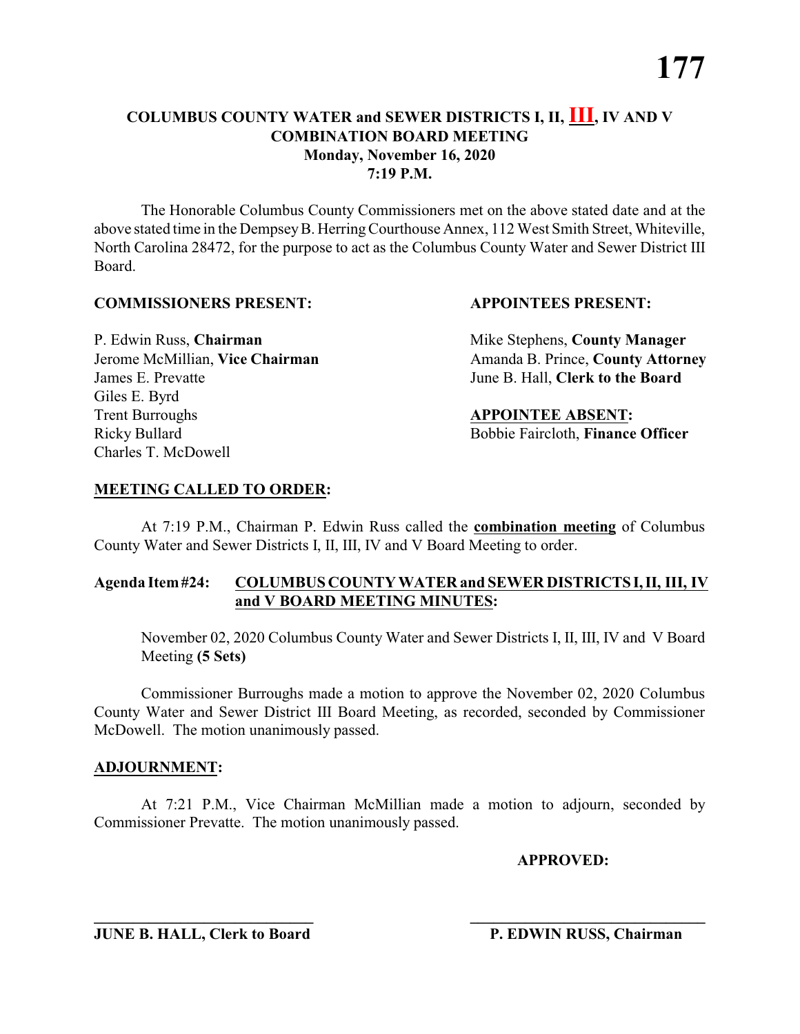The Honorable Columbus County Commissioners met on the above stated date and at the above stated time in the DempseyB. HerringCourthouse Annex, 112 West Smith Street, Whiteville, North Carolina 28472, for the purpose to act as the Columbus County Water and Sewer District III Board.

# **COMMISSIONERS PRESENT: APPOINTEES PRESENT:**

James E. Prevatte June B. Hall, **Clerk to the Board** Giles E. Byrd **Trent Burroughs APPOINTEE ABSENT:** Ricky Bullard **Bobbie Faircloth, Finance Officer** Charles T. McDowell

P. Edwin Russ, **Chairman** Mike Stephens, **County Manager** Jerome McMillian, Vice Chairman Amanda B. Prince, County Attorney

# **MEETING CALLED TO ORDER:**

At 7:19 P.M., Chairman P. Edwin Russ called the **combination meeting** of Columbus County Water and Sewer Districts I, II, III, IV and V Board Meeting to order.

# **Agenda Item#24: COLUMBUS COUNTY WATER and SEWER DISTRICTS I,II, III, IV and V BOARD MEETING MINUTES:**

November 02, 2020 Columbus County Water and Sewer Districts I, II, III, IV and V Board Meeting **(5 Sets)**

Commissioner Burroughs made a motion to approve the November 02, 2020 Columbus County Water and Sewer District III Board Meeting, as recorded, seconded by Commissioner McDowell. The motion unanimously passed.

# **ADJOURNMENT:**

At 7:21 P.M., Vice Chairman McMillian made a motion to adjourn, seconded by Commissioner Prevatte. The motion unanimously passed.

**\_\_\_\_\_\_\_\_\_\_\_\_\_\_\_\_\_\_\_\_\_\_\_\_\_\_\_\_ \_\_\_\_\_\_\_\_\_\_\_\_\_\_\_\_\_\_\_\_\_\_\_\_\_\_\_\_\_\_**

**APPROVED:**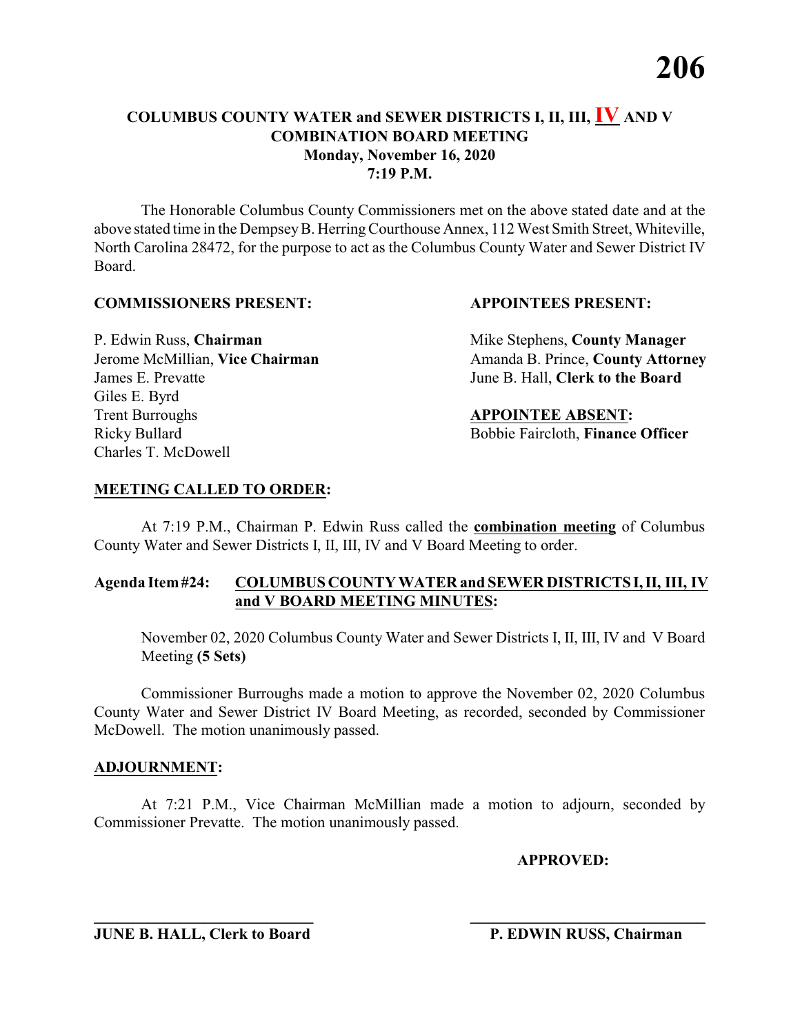The Honorable Columbus County Commissioners met on the above stated date and at the above stated time in the DempseyB. HerringCourthouse Annex, 112 West Smith Street, Whiteville, North Carolina 28472, for the purpose to act as the Columbus County Water and Sewer District IV Board.

# **COMMISSIONERS PRESENT: APPOINTEES PRESENT:**

James E. Prevatte June B. Hall, **Clerk to the Board** Giles E. Byrd **Trent Burroughs APPOINTEE ABSENT:** Ricky Bullard **Bobbie Faircloth, Finance Officer** Charles T. McDowell

P. Edwin Russ, **Chairman** Mike Stephens, **County Manager** Jerome McMillian, Vice Chairman Amanda B. Prince, County Attorney

# **MEETING CALLED TO ORDER:**

At 7:19 P.M., Chairman P. Edwin Russ called the **combination meeting** of Columbus County Water and Sewer Districts I, II, III, IV and V Board Meeting to order.

# **Agenda Item#24: COLUMBUS COUNTY WATER and SEWER DISTRICTS I,II, III, IV and V BOARD MEETING MINUTES:**

November 02, 2020 Columbus County Water and Sewer Districts I, II, III, IV and V Board Meeting **(5 Sets)**

Commissioner Burroughs made a motion to approve the November 02, 2020 Columbus County Water and Sewer District IV Board Meeting, as recorded, seconded by Commissioner McDowell. The motion unanimously passed.

# **ADJOURNMENT:**

At 7:21 P.M., Vice Chairman McMillian made a motion to adjourn, seconded by Commissioner Prevatte. The motion unanimously passed.

**\_\_\_\_\_\_\_\_\_\_\_\_\_\_\_\_\_\_\_\_\_\_\_\_\_\_\_\_ \_\_\_\_\_\_\_\_\_\_\_\_\_\_\_\_\_\_\_\_\_\_\_\_\_\_\_\_\_\_**

**APPROVED:**